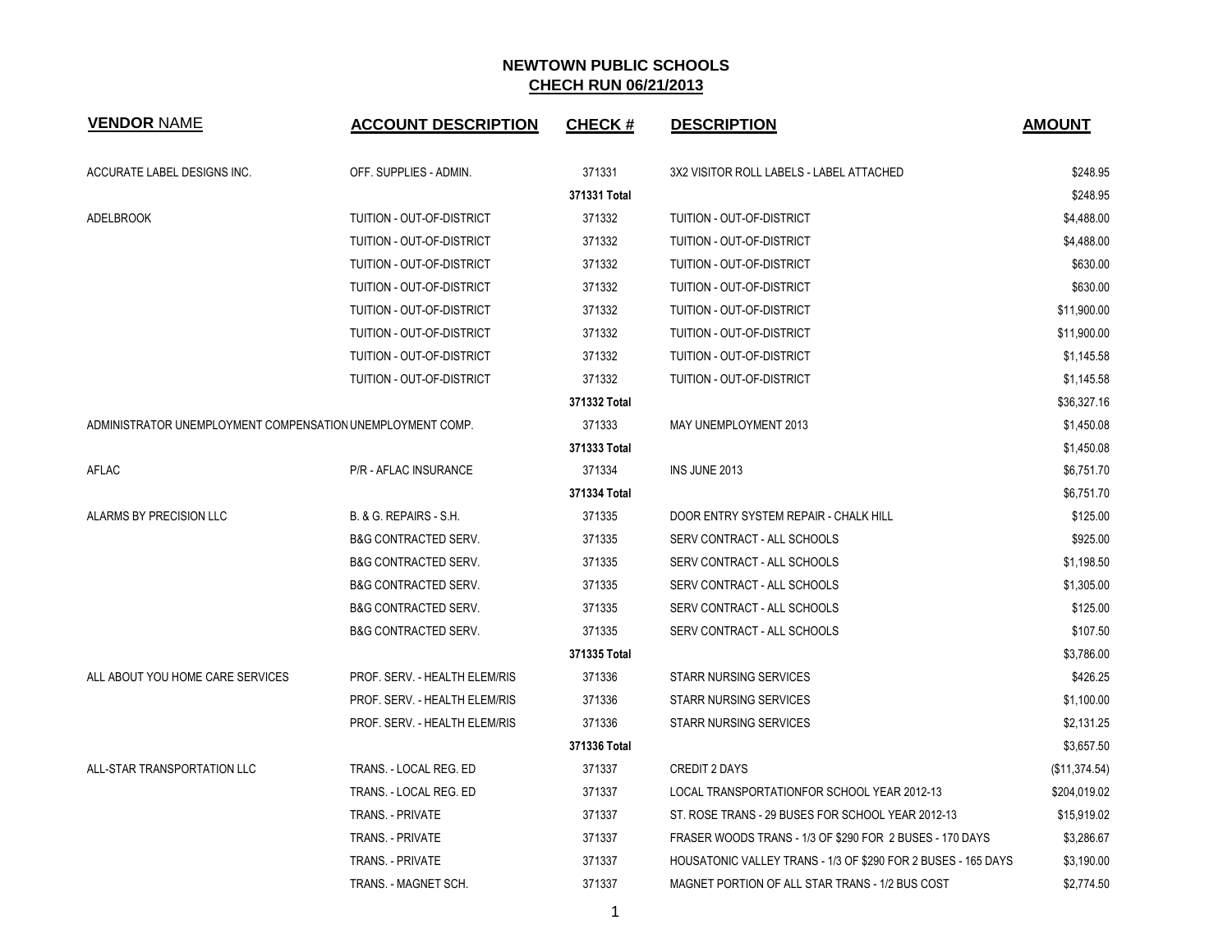| <b>VENDOR NAME</b>                                         | <b>ACCOUNT DESCRIPTION</b>      | <b>CHECK#</b> | <b>DESCRIPTION</b>                                            | <b>AMOUNT</b> |
|------------------------------------------------------------|---------------------------------|---------------|---------------------------------------------------------------|---------------|
| ACCURATE LABEL DESIGNS INC.                                | OFF. SUPPLIES - ADMIN.          | 371331        | 3X2 VISITOR ROLL LABELS - LABEL ATTACHED                      | \$248.95      |
|                                                            |                                 | 371331 Total  |                                                               | \$248.95      |
| <b>ADELBROOK</b>                                           | TUITION - OUT-OF-DISTRICT       | 371332        | TUITION - OUT-OF-DISTRICT                                     | \$4,488.00    |
|                                                            | TUITION - OUT-OF-DISTRICT       | 371332        | TUITION - OUT-OF-DISTRICT                                     | \$4,488.00    |
|                                                            | TUITION - OUT-OF-DISTRICT       | 371332        | TUITION - OUT-OF-DISTRICT                                     | \$630.00      |
|                                                            | TUITION - OUT-OF-DISTRICT       | 371332        | TUITION - OUT-OF-DISTRICT                                     | \$630.00      |
|                                                            | TUITION - OUT-OF-DISTRICT       | 371332        | TUITION - OUT-OF-DISTRICT                                     | \$11,900.00   |
|                                                            | TUITION - OUT-OF-DISTRICT       | 371332        | TUITION - OUT-OF-DISTRICT                                     | \$11,900.00   |
|                                                            | TUITION - OUT-OF-DISTRICT       | 371332        | TUITION - OUT-OF-DISTRICT                                     | \$1,145.58    |
|                                                            | TUITION - OUT-OF-DISTRICT       | 371332        | TUITION - OUT-OF-DISTRICT                                     | \$1,145.58    |
|                                                            |                                 | 371332 Total  |                                                               | \$36,327.16   |
| ADMINISTRATOR UNEMPLOYMENT COMPENSATION UNEMPLOYMENT COMP. |                                 | 371333        | MAY UNEMPLOYMENT 2013                                         | \$1,450.08    |
|                                                            |                                 | 371333 Total  |                                                               | \$1,450.08    |
| <b>AFLAC</b>                                               | <b>P/R - AFLAC INSURANCE</b>    | 371334        | INS JUNE 2013                                                 | \$6,751.70    |
|                                                            |                                 | 371334 Total  |                                                               | \$6,751.70    |
| ALARMS BY PRECISION LLC                                    | B. & G. REPAIRS - S.H.          | 371335        | DOOR ENTRY SYSTEM REPAIR - CHALK HILL                         | \$125.00      |
|                                                            | <b>B&amp;G CONTRACTED SERV.</b> | 371335        | SERV CONTRACT - ALL SCHOOLS                                   | \$925.00      |
|                                                            | <b>B&amp;G CONTRACTED SERV.</b> | 371335        | SERV CONTRACT - ALL SCHOOLS                                   | \$1,198.50    |
|                                                            | <b>B&amp;G CONTRACTED SERV.</b> | 371335        | SERV CONTRACT - ALL SCHOOLS                                   | \$1,305.00    |
|                                                            | <b>B&amp;G CONTRACTED SERV.</b> | 371335        | SERV CONTRACT - ALL SCHOOLS                                   | \$125.00      |
|                                                            | <b>B&amp;G CONTRACTED SERV.</b> | 371335        | SERV CONTRACT - ALL SCHOOLS                                   | \$107.50      |
|                                                            |                                 | 371335 Total  |                                                               | \$3,786.00    |
| ALL ABOUT YOU HOME CARE SERVICES                           | PROF. SERV. - HEALTH ELEM/RIS   | 371336        | <b>STARR NURSING SERVICES</b>                                 | \$426.25      |
|                                                            | PROF. SERV. - HEALTH ELEM/RIS   | 371336        | <b>STARR NURSING SERVICES</b>                                 | \$1,100.00    |
|                                                            | PROF. SERV. - HEALTH ELEM/RIS   | 371336        | STARR NURSING SERVICES                                        | \$2,131.25    |
|                                                            |                                 | 371336 Total  |                                                               | \$3,657.50    |
| ALL-STAR TRANSPORTATION LLC                                | TRANS. - LOCAL REG. ED          | 371337        | <b>CREDIT 2 DAYS</b>                                          | (\$11,374.54) |
|                                                            | TRANS. - LOCAL REG. ED          | 371337        | LOCAL TRANSPORTATIONFOR SCHOOL YEAR 2012-13                   | \$204,019.02  |
|                                                            | <b>TRANS. - PRIVATE</b>         | 371337        | ST. ROSE TRANS - 29 BUSES FOR SCHOOL YEAR 2012-13             | \$15,919.02   |
|                                                            | <b>TRANS. - PRIVATE</b>         | 371337        | FRASER WOODS TRANS - 1/3 OF \$290 FOR 2 BUSES - 170 DAYS      | \$3,286.67    |
|                                                            | <b>TRANS. - PRIVATE</b>         | 371337        | HOUSATONIC VALLEY TRANS - 1/3 OF \$290 FOR 2 BUSES - 165 DAYS | \$3,190.00    |
|                                                            | TRANS. - MAGNET SCH.            | 371337        | MAGNET PORTION OF ALL STAR TRANS - 1/2 BUS COST               | \$2,774.50    |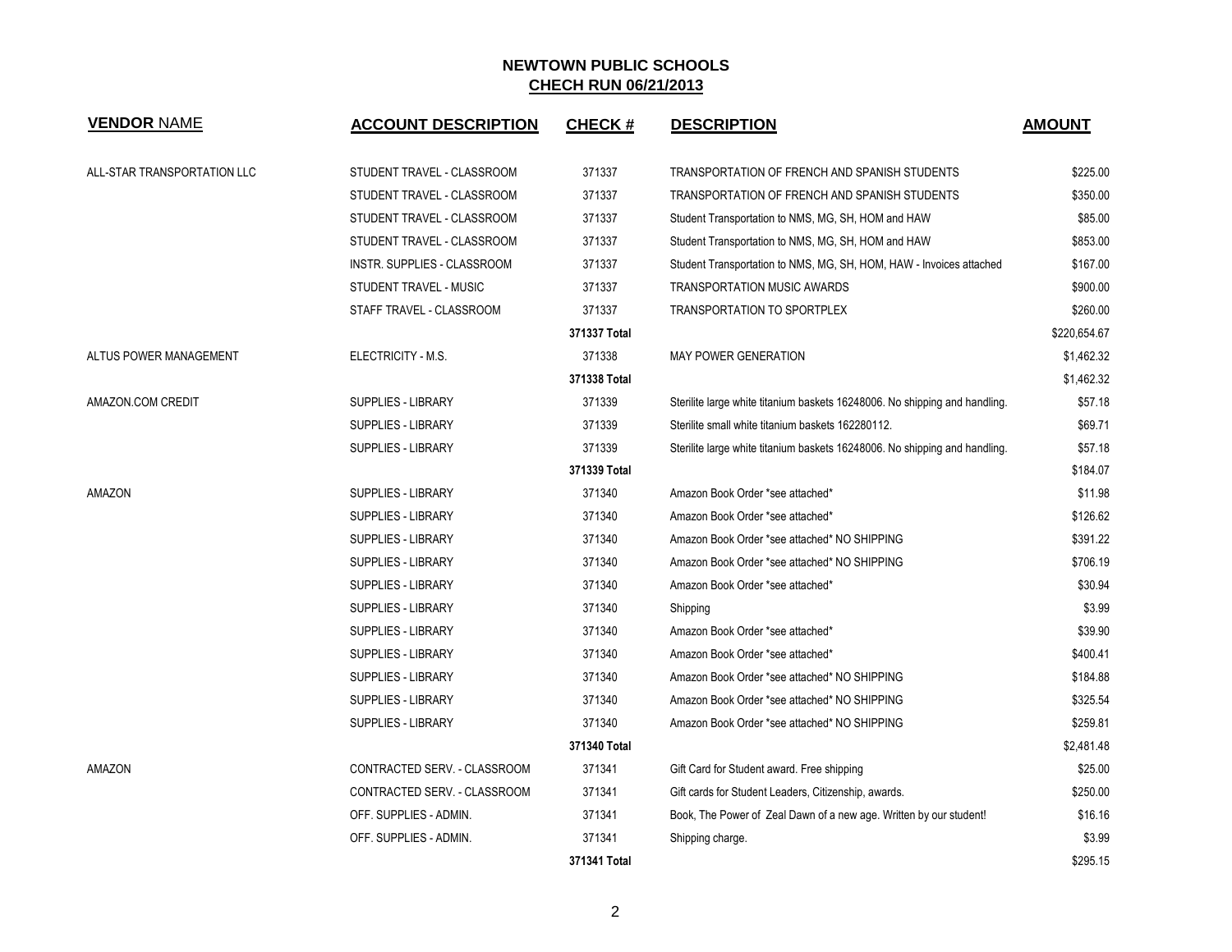| <b>VENDOR NAME</b>          | <b>ACCOUNT DESCRIPTION</b>   | <b>CHECK#</b> | <b>DESCRIPTION</b>                                                         | <b>AMOUNT</b> |
|-----------------------------|------------------------------|---------------|----------------------------------------------------------------------------|---------------|
| ALL-STAR TRANSPORTATION LLC | STUDENT TRAVEL - CLASSROOM   | 371337        | TRANSPORTATION OF FRENCH AND SPANISH STUDENTS                              | \$225.00      |
|                             | STUDENT TRAVEL - CLASSROOM   | 371337        | TRANSPORTATION OF FRENCH AND SPANISH STUDENTS                              | \$350.00      |
|                             | STUDENT TRAVEL - CLASSROOM   | 371337        | Student Transportation to NMS, MG, SH, HOM and HAW                         | \$85.00       |
|                             | STUDENT TRAVEL - CLASSROOM   | 371337        | Student Transportation to NMS, MG, SH, HOM and HAW                         | \$853.00      |
|                             | INSTR. SUPPLIES - CLASSROOM  | 371337        | Student Transportation to NMS, MG, SH, HOM, HAW - Invoices attached        |               |
|                             | STUDENT TRAVEL - MUSIC       | 371337        | TRANSPORTATION MUSIC AWARDS                                                | \$900.00      |
|                             | STAFF TRAVEL - CLASSROOM     | 371337        | <b>TRANSPORTATION TO SPORTPLEX</b>                                         | \$260.00      |
|                             |                              | 371337 Total  |                                                                            | \$220,654.67  |
| ALTUS POWER MANAGEMENT      | ELECTRICITY - M.S.           | 371338        | <b>MAY POWER GENERATION</b>                                                | \$1,462.32    |
|                             |                              | 371338 Total  |                                                                            | \$1,462.32    |
| AMAZON.COM CREDIT           | <b>SUPPLIES - LIBRARY</b>    | 371339        | Sterilite large white titanium baskets 16248006. No shipping and handling. | \$57.18       |
|                             | <b>SUPPLIES - LIBRARY</b>    | 371339        | Sterilite small white titanium baskets 162280112.                          | \$69.71       |
|                             | <b>SUPPLIES - LIBRARY</b>    | 371339        | Sterilite large white titanium baskets 16248006. No shipping and handling. | \$57.18       |
|                             |                              | 371339 Total  |                                                                            | \$184.07      |
| AMAZON                      | <b>SUPPLIES - LIBRARY</b>    | 371340        | Amazon Book Order *see attached*                                           | \$11.98       |
|                             | <b>SUPPLIES - LIBRARY</b>    | 371340        | Amazon Book Order *see attached*                                           | \$126.62      |
|                             | <b>SUPPLIES - LIBRARY</b>    | 371340        | Amazon Book Order *see attached* NO SHIPPING                               | \$391.22      |
|                             | <b>SUPPLIES - LIBRARY</b>    | 371340        | Amazon Book Order *see attached* NO SHIPPING                               | \$706.19      |
|                             | <b>SUPPLIES - LIBRARY</b>    | 371340        | Amazon Book Order *see attached*                                           | \$30.94       |
|                             | <b>SUPPLIES - LIBRARY</b>    | 371340        | Shipping                                                                   | \$3.99        |
|                             | <b>SUPPLIES - LIBRARY</b>    | 371340        | Amazon Book Order *see attached*                                           | \$39.90       |
|                             | SUPPLIES - LIBRARY           | 371340        | Amazon Book Order *see attached*                                           | \$400.41      |
|                             | <b>SUPPLIES - LIBRARY</b>    | 371340        | Amazon Book Order *see attached* NO SHIPPING                               | \$184.88      |
|                             | <b>SUPPLIES - LIBRARY</b>    | 371340        | Amazon Book Order *see attached* NO SHIPPING                               | \$325.54      |
|                             | <b>SUPPLIES - LIBRARY</b>    | 371340        | Amazon Book Order *see attached* NO SHIPPING                               | \$259.81      |
|                             |                              | 371340 Total  |                                                                            | \$2,481.48    |
| AMAZON                      | CONTRACTED SERV. - CLASSROOM | 371341        | Gift Card for Student award. Free shipping                                 | \$25.00       |
|                             | CONTRACTED SERV. - CLASSROOM | 371341        | Gift cards for Student Leaders, Citizenship, awards.                       | \$250.00      |
|                             | OFF. SUPPLIES - ADMIN.       | 371341        | Book, The Power of Zeal Dawn of a new age. Written by our student!         | \$16.16       |
|                             | OFF. SUPPLIES - ADMIN.       | 371341        | Shipping charge.                                                           | \$3.99        |
|                             |                              | 371341 Total  |                                                                            | \$295.15      |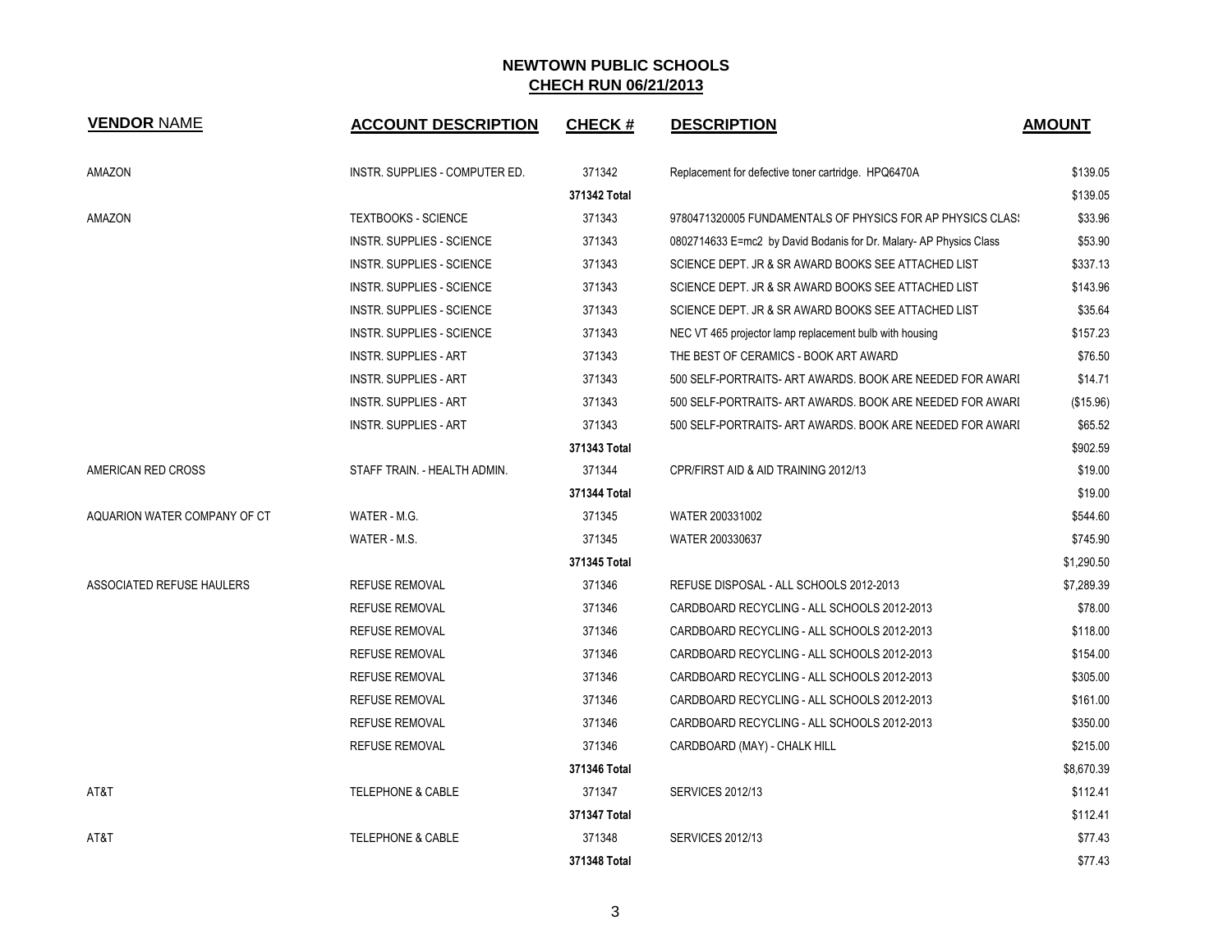| <b>VENDOR NAME</b>           | <b>ACCOUNT DESCRIPTION</b>       | <b>CHECK#</b> | <b>DESCRIPTION</b>                                                | <b>AMOUNT</b> |
|------------------------------|----------------------------------|---------------|-------------------------------------------------------------------|---------------|
| AMAZON                       | INSTR. SUPPLIES - COMPUTER ED.   | 371342        | Replacement for defective toner cartridge. HPQ6470A               | \$139.05      |
|                              |                                  | 371342 Total  |                                                                   | \$139.05      |
| AMAZON                       | <b>TEXTBOOKS - SCIENCE</b>       | 371343        | 9780471320005 FUNDAMENTALS OF PHYSICS FOR AP PHYSICS CLASS        | \$33.96       |
|                              | <b>INSTR. SUPPLIES - SCIENCE</b> | 371343        | 0802714633 E=mc2 by David Bodanis for Dr. Malary-AP Physics Class | \$53.90       |
|                              | <b>INSTR. SUPPLIES - SCIENCE</b> | 371343        | SCIENCE DEPT. JR & SR AWARD BOOKS SEE ATTACHED LIST               | \$337.13      |
|                              | INSTR. SUPPLIES - SCIENCE        | 371343        | SCIENCE DEPT. JR & SR AWARD BOOKS SEE ATTACHED LIST               | \$143.96      |
|                              | <b>INSTR. SUPPLIES - SCIENCE</b> | 371343        | SCIENCE DEPT. JR & SR AWARD BOOKS SEE ATTACHED LIST               | \$35.64       |
|                              | INSTR. SUPPLIES - SCIENCE        | 371343        | NEC VT 465 projector lamp replacement bulb with housing           | \$157.23      |
|                              | <b>INSTR. SUPPLIES - ART</b>     | 371343        | THE BEST OF CERAMICS - BOOK ART AWARD                             | \$76.50       |
|                              | <b>INSTR. SUPPLIES - ART</b>     | 371343        | 500 SELF-PORTRAITS- ART AWARDS. BOOK ARE NEEDED FOR AWARI         | \$14.71       |
|                              | <b>INSTR. SUPPLIES - ART</b>     | 371343        | 500 SELF-PORTRAITS- ART AWARDS. BOOK ARE NEEDED FOR AWARI         | (\$15.96)     |
|                              | <b>INSTR. SUPPLIES - ART</b>     | 371343        | 500 SELF-PORTRAITS- ART AWARDS, BOOK ARE NEEDED FOR AWARI         | \$65.52       |
|                              |                                  | 371343 Total  |                                                                   | \$902.59      |
| AMERICAN RED CROSS           | STAFF TRAIN. - HEALTH ADMIN.     | 371344        | CPR/FIRST AID & AID TRAINING 2012/13                              | \$19.00       |
|                              |                                  | 371344 Total  |                                                                   | \$19.00       |
| AQUARION WATER COMPANY OF CT | WATER - M.G.                     | 371345        | WATER 200331002                                                   | \$544.60      |
|                              | WATER - M.S.                     | 371345        | WATER 200330637                                                   | \$745.90      |
|                              |                                  | 371345 Total  |                                                                   | \$1,290.50    |
| ASSOCIATED REFUSE HAULERS    | <b>REFUSE REMOVAL</b>            | 371346        | REFUSE DISPOSAL - ALL SCHOOLS 2012-2013                           | \$7,289.39    |
|                              | <b>REFUSE REMOVAL</b>            | 371346        | CARDBOARD RECYCLING - ALL SCHOOLS 2012-2013                       | \$78.00       |
|                              | <b>REFUSE REMOVAL</b>            | 371346        | CARDBOARD RECYCLING - ALL SCHOOLS 2012-2013                       | \$118.00      |
|                              | <b>REFUSE REMOVAL</b>            | 371346        | CARDBOARD RECYCLING - ALL SCHOOLS 2012-2013                       | \$154.00      |
|                              | <b>REFUSE REMOVAL</b>            | 371346        | CARDBOARD RECYCLING - ALL SCHOOLS 2012-2013                       | \$305.00      |
|                              | <b>REFUSE REMOVAL</b>            | 371346        | CARDBOARD RECYCLING - ALL SCHOOLS 2012-2013                       | \$161.00      |
|                              | <b>REFUSE REMOVAL</b>            | 371346        | CARDBOARD RECYCLING - ALL SCHOOLS 2012-2013                       | \$350.00      |
|                              | <b>REFUSE REMOVAL</b>            | 371346        | CARDBOARD (MAY) - CHALK HILL                                      | \$215.00      |
|                              |                                  | 371346 Total  |                                                                   | \$8,670.39    |
| AT&T                         | <b>TELEPHONE &amp; CABLE</b>     | 371347        | <b>SERVICES 2012/13</b>                                           | \$112.41      |
|                              |                                  | 371347 Total  |                                                                   | \$112.41      |
| AT&T                         | <b>TELEPHONE &amp; CABLE</b>     | 371348        | <b>SERVICES 2012/13</b>                                           | \$77.43       |
|                              |                                  | 371348 Total  |                                                                   | \$77.43       |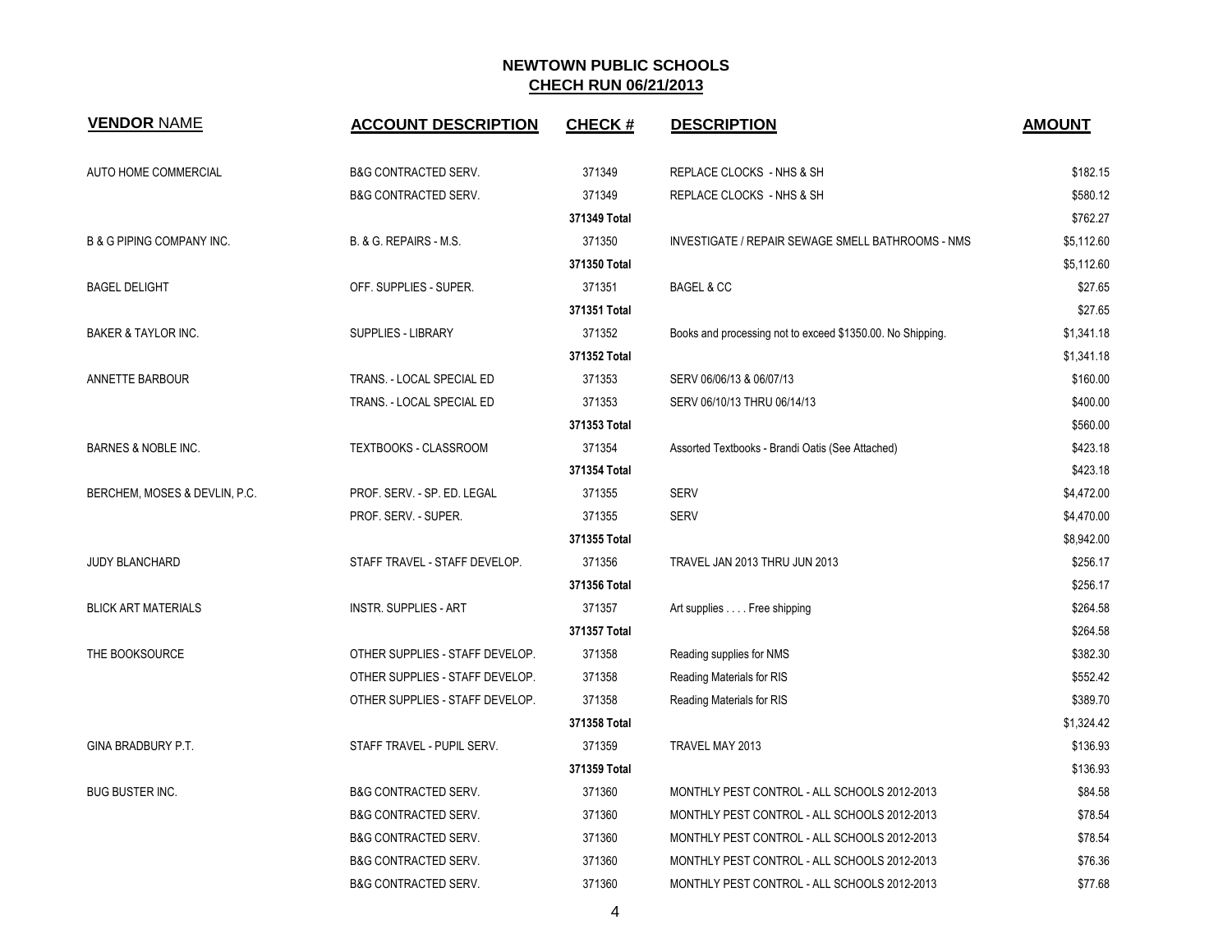| <b>VENDOR NAME</b>                   | <b>ACCOUNT DESCRIPTION</b>      | <b>CHECK#</b> | <b>DESCRIPTION</b>                                         | <b>AMOUNT</b> |
|--------------------------------------|---------------------------------|---------------|------------------------------------------------------------|---------------|
| <b>AUTO HOME COMMERCIAL</b>          | <b>B&amp;G CONTRACTED SERV.</b> | 371349        | REPLACE CLOCKS - NHS & SH                                  | \$182.15      |
|                                      | <b>B&amp;G CONTRACTED SERV.</b> | 371349        | REPLACE CLOCKS - NHS & SH                                  | \$580.12      |
|                                      |                                 | 371349 Total  |                                                            | \$762.27      |
| <b>B &amp; G PIPING COMPANY INC.</b> | B. & G. REPAIRS - M.S.          | 371350        | INVESTIGATE / REPAIR SEWAGE SMELL BATHROOMS - NMS          | \$5,112.60    |
|                                      |                                 | 371350 Total  |                                                            | \$5,112.60    |
| <b>BAGEL DELIGHT</b>                 | OFF. SUPPLIES - SUPER.          | 371351        | <b>BAGEL &amp; CC</b>                                      | \$27.65       |
|                                      |                                 | 371351 Total  |                                                            | \$27.65       |
| BAKER & TAYLOR INC.                  | SUPPLIES - LIBRARY              | 371352        | Books and processing not to exceed \$1350.00. No Shipping. | \$1,341.18    |
|                                      |                                 | 371352 Total  |                                                            | \$1,341.18    |
| ANNETTE BARBOUR                      | TRANS. - LOCAL SPECIAL ED       | 371353        | SERV 06/06/13 & 06/07/13                                   | \$160.00      |
|                                      | TRANS. - LOCAL SPECIAL ED       | 371353        | SERV 06/10/13 THRU 06/14/13                                | \$400.00      |
|                                      |                                 | 371353 Total  |                                                            | \$560.00      |
| BARNES & NOBLE INC.                  | TEXTBOOKS - CLASSROOM           | 371354        | Assorted Textbooks - Brandi Oatis (See Attached)           | \$423.18      |
|                                      |                                 | 371354 Total  |                                                            | \$423.18      |
| BERCHEM, MOSES & DEVLIN, P.C.        | PROF. SERV. - SP. ED. LEGAL     | 371355        | <b>SERV</b>                                                | \$4,472.00    |
|                                      | PROF. SERV. - SUPER.            | 371355        | <b>SERV</b>                                                | \$4,470.00    |
|                                      |                                 | 371355 Total  |                                                            | \$8,942.00    |
| <b>JUDY BLANCHARD</b>                | STAFF TRAVEL - STAFF DEVELOP.   | 371356        | TRAVEL JAN 2013 THRU JUN 2013                              | \$256.17      |
|                                      |                                 | 371356 Total  |                                                            | \$256.17      |
| <b>BLICK ART MATERIALS</b>           | <b>INSTR. SUPPLIES - ART</b>    | 371357        | Art supplies Free shipping                                 | \$264.58      |
|                                      |                                 | 371357 Total  |                                                            | \$264.58      |
| THE BOOKSOURCE                       | OTHER SUPPLIES - STAFF DEVELOP. | 371358        | Reading supplies for NMS                                   | \$382.30      |
|                                      | OTHER SUPPLIES - STAFF DEVELOP. | 371358        | Reading Materials for RIS                                  | \$552.42      |
|                                      | OTHER SUPPLIES - STAFF DEVELOP. | 371358        | Reading Materials for RIS                                  | \$389.70      |
|                                      |                                 | 371358 Total  |                                                            | \$1,324.42    |
| GINA BRADBURY P.T.                   | STAFF TRAVEL - PUPIL SERV.      | 371359        | TRAVEL MAY 2013                                            | \$136.93      |
|                                      |                                 | 371359 Total  |                                                            | \$136.93      |
| <b>BUG BUSTER INC.</b>               | <b>B&amp;G CONTRACTED SERV.</b> | 371360        | MONTHLY PEST CONTROL - ALL SCHOOLS 2012-2013               | \$84.58       |
|                                      | <b>B&amp;G CONTRACTED SERV.</b> | 371360        | MONTHLY PEST CONTROL - ALL SCHOOLS 2012-2013               | \$78.54       |
|                                      | <b>B&amp;G CONTRACTED SERV.</b> | 371360        | MONTHLY PEST CONTROL - ALL SCHOOLS 2012-2013               | \$78.54       |
|                                      | B&G CONTRACTED SERV.            | 371360        | MONTHLY PEST CONTROL - ALL SCHOOLS 2012-2013               | \$76.36       |
|                                      | <b>B&amp;G CONTRACTED SERV.</b> | 371360        | MONTHLY PEST CONTROL - ALL SCHOOLS 2012-2013               | \$77.68       |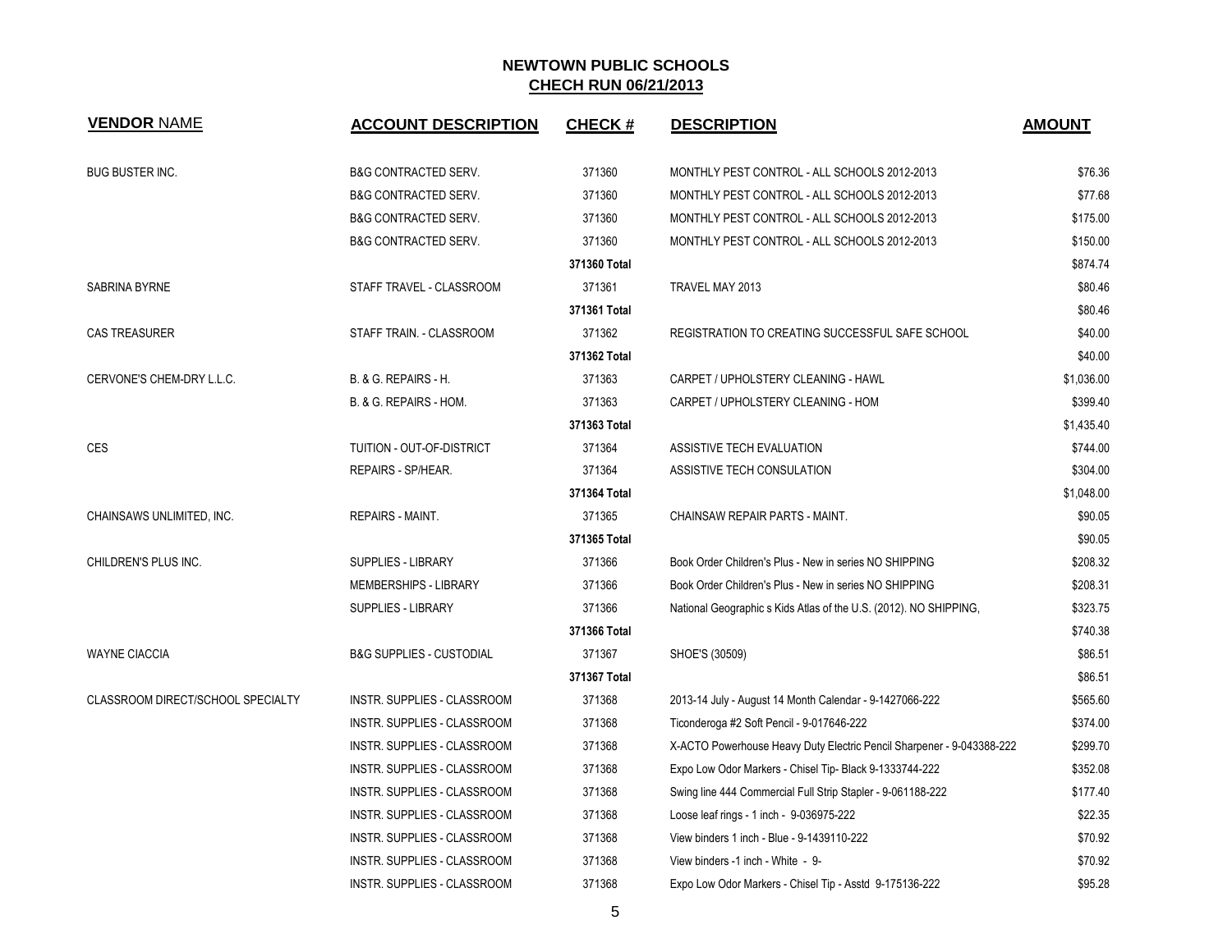| <b>VENDOR NAME</b>                       | <b>ACCOUNT DESCRIPTION</b>          | <b>CHECK#</b> | <b>DESCRIPTION</b>                                                    | <b>AMOUNT</b> |
|------------------------------------------|-------------------------------------|---------------|-----------------------------------------------------------------------|---------------|
| <b>BUG BUSTER INC.</b>                   | <b>B&amp;G CONTRACTED SERV.</b>     | 371360        | MONTHLY PEST CONTROL - ALL SCHOOLS 2012-2013                          | \$76.36       |
|                                          | <b>B&amp;G CONTRACTED SERV.</b>     | 371360        | MONTHLY PEST CONTROL - ALL SCHOOLS 2012-2013                          | \$77.68       |
|                                          | <b>B&amp;G CONTRACTED SERV.</b>     | 371360        | MONTHLY PEST CONTROL - ALL SCHOOLS 2012-2013                          | \$175.00      |
|                                          | <b>B&amp;G CONTRACTED SERV.</b>     | 371360        | MONTHLY PEST CONTROL - ALL SCHOOLS 2012-2013                          | \$150.00      |
|                                          |                                     | 371360 Total  |                                                                       | \$874.74      |
| SABRINA BYRNE                            | STAFF TRAVEL - CLASSROOM            | 371361        | TRAVEL MAY 2013                                                       | \$80.46       |
|                                          |                                     | 371361 Total  |                                                                       | \$80.46       |
| <b>CAS TREASURER</b>                     | STAFF TRAIN. - CLASSROOM            | 371362        | REGISTRATION TO CREATING SUCCESSFUL SAFE SCHOOL                       | \$40.00       |
|                                          |                                     | 371362 Total  |                                                                       | \$40.00       |
| CERVONE'S CHEM-DRY L.L.C.                | B. & G. REPAIRS - H.                | 371363        | CARPET / UPHOLSTERY CLEANING - HAWL                                   | \$1,036.00    |
|                                          | B. & G. REPAIRS - HOM.              | 371363        | CARPET / UPHOLSTERY CLEANING - HOM                                    | \$399.40      |
|                                          |                                     | 371363 Total  |                                                                       | \$1,435.40    |
| <b>CES</b>                               | TUITION - OUT-OF-DISTRICT           | 371364        | ASSISTIVE TECH EVALUATION                                             | \$744.00      |
|                                          | REPAIRS - SP/HEAR.                  | 371364        | ASSISTIVE TECH CONSULATION                                            | \$304.00      |
|                                          |                                     | 371364 Total  |                                                                       | \$1,048.00    |
| CHAINSAWS UNLIMITED, INC.                | <b>REPAIRS - MAINT.</b>             | 371365        | CHAINSAW REPAIR PARTS - MAINT.                                        | \$90.05       |
|                                          |                                     | 371365 Total  |                                                                       | \$90.05       |
| CHILDREN'S PLUS INC.                     | <b>SUPPLIES - LIBRARY</b>           | 371366        | Book Order Children's Plus - New in series NO SHIPPING                | \$208.32      |
|                                          | <b>MEMBERSHIPS - LIBRARY</b>        | 371366        | Book Order Children's Plus - New in series NO SHIPPING                | \$208.31      |
|                                          | <b>SUPPLIES - LIBRARY</b>           | 371366        | National Geographic s Kids Atlas of the U.S. (2012). NO SHIPPING,     | \$323.75      |
|                                          |                                     | 371366 Total  |                                                                       | \$740.38      |
| <b>WAYNE CIACCIA</b>                     | <b>B&amp;G SUPPLIES - CUSTODIAL</b> | 371367        | SHOE'S (30509)                                                        | \$86.51       |
|                                          |                                     | 371367 Total  |                                                                       | \$86.51       |
| <b>CLASSROOM DIRECT/SCHOOL SPECIALTY</b> | INSTR. SUPPLIES - CLASSROOM         | 371368        | 2013-14 July - August 14 Month Calendar - 9-1427066-222               | \$565.60      |
|                                          | INSTR. SUPPLIES - CLASSROOM         | 371368        | Ticonderoga #2 Soft Pencil - 9-017646-222                             | \$374.00      |
|                                          | INSTR. SUPPLIES - CLASSROOM         | 371368        | X-ACTO Powerhouse Heavy Duty Electric Pencil Sharpener - 9-043388-222 | \$299.70      |
|                                          | INSTR. SUPPLIES - CLASSROOM         | 371368        | Expo Low Odor Markers - Chisel Tip- Black 9-1333744-222               | \$352.08      |
|                                          | INSTR. SUPPLIES - CLASSROOM         | 371368        | Swing line 444 Commercial Full Strip Stapler - 9-061188-222           | \$177.40      |
|                                          | INSTR. SUPPLIES - CLASSROOM         | 371368        | Loose leaf rings - 1 inch - 9-036975-222                              | \$22.35       |
|                                          | INSTR. SUPPLIES - CLASSROOM         | 371368        | View binders 1 inch - Blue - 9-1439110-222                            | \$70.92       |
|                                          | INSTR. SUPPLIES - CLASSROOM         | 371368        | View binders -1 inch - White - 9-                                     | \$70.92       |
|                                          | INSTR. SUPPLIES - CLASSROOM         | 371368        | Expo Low Odor Markers - Chisel Tip - Asstd 9-175136-222               | \$95.28       |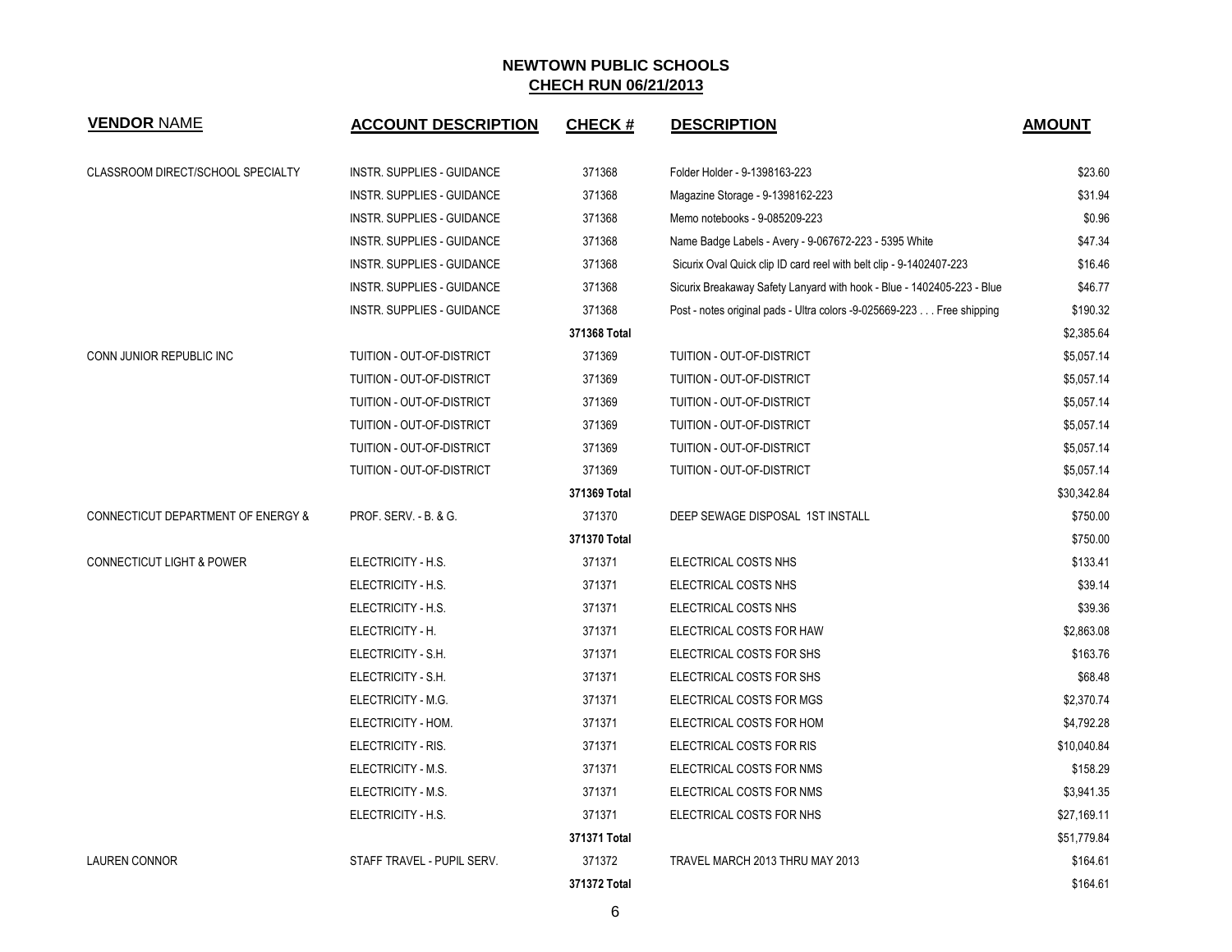| <b>VENDOR NAME</b>                   | <b>ACCOUNT DESCRIPTION</b>        | <b>CHECK#</b> | <b>DESCRIPTION</b>                                                     | <b>AMOUNT</b> |
|--------------------------------------|-----------------------------------|---------------|------------------------------------------------------------------------|---------------|
| CLASSROOM DIRECT/SCHOOL SPECIALTY    | <b>INSTR. SUPPLIES - GUIDANCE</b> | 371368        | Folder Holder - 9-1398163-223                                          | \$23.60       |
|                                      | <b>INSTR. SUPPLIES - GUIDANCE</b> | 371368        | Magazine Storage - 9-1398162-223                                       | \$31.94       |
|                                      | INSTR. SUPPLIES - GUIDANCE        | 371368        | Memo notebooks - 9-085209-223                                          | \$0.96        |
|                                      | <b>INSTR. SUPPLIES - GUIDANCE</b> | 371368        | Name Badge Labels - Avery - 9-067672-223 - 5395 White                  | \$47.34       |
|                                      | INSTR. SUPPLIES - GUIDANCE        | 371368        | Sicurix Oval Quick clip ID card reel with belt clip - 9-1402407-223    | \$16.46       |
|                                      | <b>INSTR. SUPPLIES - GUIDANCE</b> | 371368        | Sicurix Breakaway Safety Lanyard with hook - Blue - 1402405-223 - Blue | \$46.77       |
|                                      | INSTR. SUPPLIES - GUIDANCE        | 371368        | Post - notes original pads - Ultra colors -9-025669-223 Free shipping  | \$190.32      |
|                                      |                                   | 371368 Total  |                                                                        | \$2,385.64    |
| CONN JUNIOR REPUBLIC INC             | TUITION - OUT-OF-DISTRICT         | 371369        | TUITION - OUT-OF-DISTRICT                                              | \$5,057.14    |
|                                      | TUITION - OUT-OF-DISTRICT         | 371369        | TUITION - OUT-OF-DISTRICT                                              | \$5,057.14    |
|                                      | TUITION - OUT-OF-DISTRICT         | 371369        | TUITION - OUT-OF-DISTRICT                                              | \$5,057.14    |
|                                      | TUITION - OUT-OF-DISTRICT         | 371369        | TUITION - OUT-OF-DISTRICT                                              | \$5,057.14    |
|                                      | TUITION - OUT-OF-DISTRICT         | 371369        | TUITION - OUT-OF-DISTRICT                                              | \$5,057.14    |
|                                      | TUITION - OUT-OF-DISTRICT         | 371369        | TUITION - OUT-OF-DISTRICT                                              | \$5,057.14    |
|                                      |                                   | 371369 Total  |                                                                        | \$30,342.84   |
| CONNECTICUT DEPARTMENT OF ENERGY &   | PROF. SERV. - B. & G.             | 371370        | DEEP SEWAGE DISPOSAL 1ST INSTALL                                       | \$750.00      |
|                                      |                                   | 371370 Total  |                                                                        | \$750.00      |
| <b>CONNECTICUT LIGHT &amp; POWER</b> | ELECTRICITY - H.S.                | 371371        | ELECTRICAL COSTS NHS                                                   | \$133.41      |
|                                      | ELECTRICITY - H.S.                | 371371        | ELECTRICAL COSTS NHS                                                   | \$39.14       |
|                                      | ELECTRICITY - H.S.                | 371371        | ELECTRICAL COSTS NHS                                                   | \$39.36       |
|                                      | ELECTRICITY - H.                  | 371371        | ELECTRICAL COSTS FOR HAW                                               | \$2,863.08    |
|                                      | ELECTRICITY - S.H.                | 371371        | ELECTRICAL COSTS FOR SHS                                               | \$163.76      |
|                                      | ELECTRICITY - S.H.                | 371371        | ELECTRICAL COSTS FOR SHS                                               | \$68.48       |
|                                      | ELECTRICITY - M.G.                | 371371        | ELECTRICAL COSTS FOR MGS                                               | \$2,370.74    |
|                                      | ELECTRICITY - HOM.                | 371371        | ELECTRICAL COSTS FOR HOM                                               | \$4,792.28    |
|                                      | ELECTRICITY - RIS.                | 371371        | ELECTRICAL COSTS FOR RIS                                               | \$10,040.84   |
|                                      | ELECTRICITY - M.S.                | 371371        | ELECTRICAL COSTS FOR NMS                                               | \$158.29      |
|                                      | ELECTRICITY - M.S.                | 371371        | ELECTRICAL COSTS FOR NMS                                               | \$3,941.35    |
|                                      | ELECTRICITY - H.S.                | 371371        | ELECTRICAL COSTS FOR NHS                                               | \$27,169.11   |
|                                      |                                   | 371371 Total  |                                                                        | \$51,779.84   |
| <b>LAUREN CONNOR</b>                 | STAFF TRAVEL - PUPIL SERV.        | 371372        | TRAVEL MARCH 2013 THRU MAY 2013                                        | \$164.61      |
|                                      |                                   | 371372 Total  |                                                                        | \$164.61      |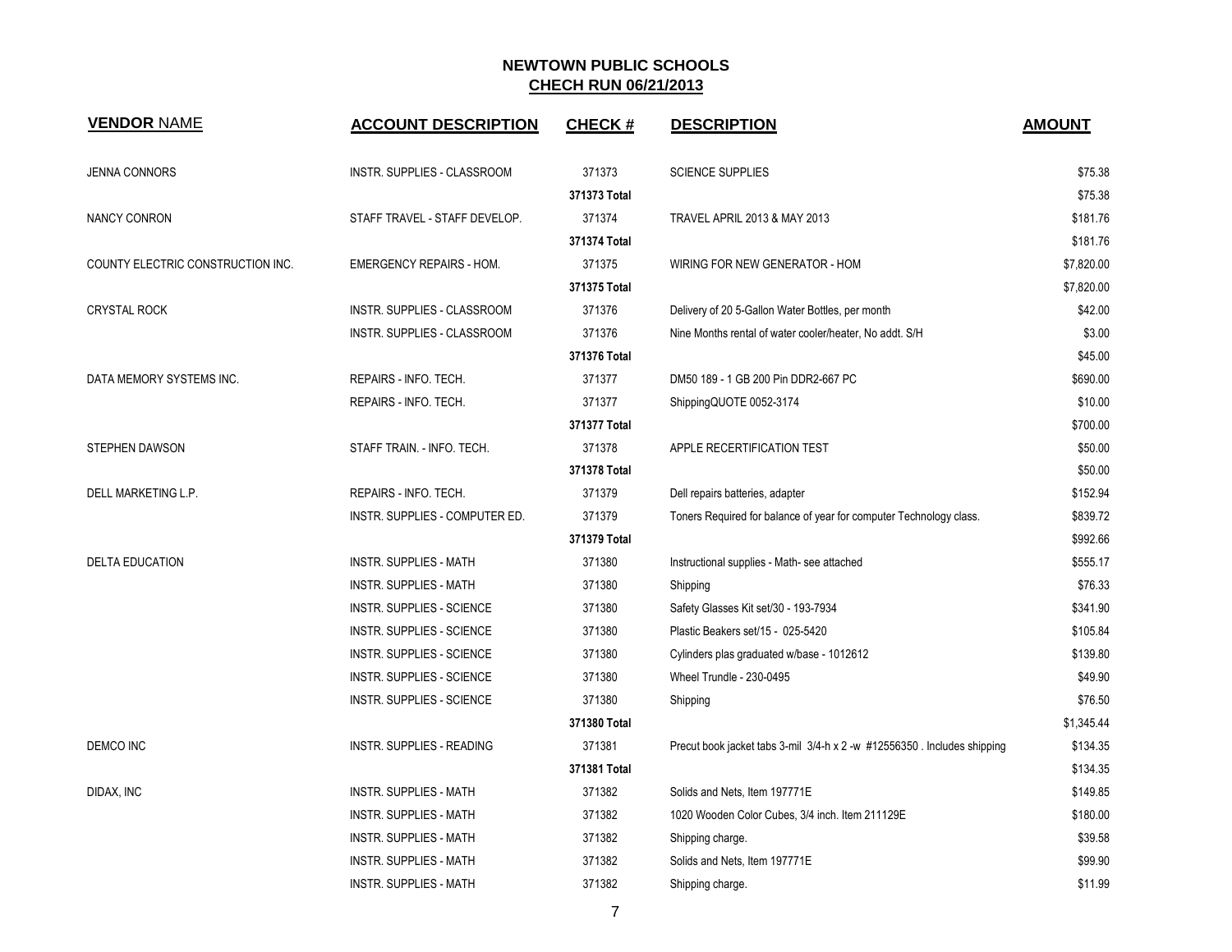| <b>VENDOR NAME</b>                | <b>ACCOUNT DESCRIPTION</b>       | <b>CHECK#</b> | <b>DESCRIPTION</b>                                                       | <b>AMOUNT</b> |
|-----------------------------------|----------------------------------|---------------|--------------------------------------------------------------------------|---------------|
| <b>JENNA CONNORS</b>              | INSTR. SUPPLIES - CLASSROOM      | 371373        | <b>SCIENCE SUPPLIES</b>                                                  | \$75.38       |
|                                   |                                  | 371373 Total  |                                                                          | \$75.38       |
| <b>NANCY CONRON</b>               | STAFF TRAVEL - STAFF DEVELOP.    | 371374        | TRAVEL APRIL 2013 & MAY 2013                                             | \$181.76      |
|                                   |                                  | 371374 Total  |                                                                          | \$181.76      |
| COUNTY ELECTRIC CONSTRUCTION INC. | <b>EMERGENCY REPAIRS - HOM.</b>  | 371375        | WIRING FOR NEW GENERATOR - HOM                                           | \$7,820.00    |
|                                   |                                  | 371375 Total  |                                                                          | \$7,820.00    |
| <b>CRYSTAL ROCK</b>               | INSTR. SUPPLIES - CLASSROOM      | 371376        | Delivery of 20 5-Gallon Water Bottles, per month                         | \$42.00       |
|                                   | INSTR. SUPPLIES - CLASSROOM      | 371376        | Nine Months rental of water cooler/heater, No addt. S/H                  | \$3.00        |
|                                   |                                  | 371376 Total  |                                                                          | \$45.00       |
| DATA MEMORY SYSTEMS INC.          | REPAIRS - INFO. TECH.            | 371377        | DM50 189 - 1 GB 200 Pin DDR2-667 PC                                      | \$690.00      |
|                                   | REPAIRS - INFO. TECH.            | 371377        | ShippingQUOTE 0052-3174                                                  | \$10.00       |
|                                   |                                  | 371377 Total  |                                                                          | \$700.00      |
| <b>STEPHEN DAWSON</b>             | STAFF TRAIN. - INFO. TECH.       | 371378        | APPLE RECERTIFICATION TEST                                               | \$50.00       |
|                                   |                                  | 371378 Total  |                                                                          | \$50.00       |
| DELL MARKETING L.P.               | REPAIRS - INFO. TECH.            | 371379        | Dell repairs batteries, adapter                                          | \$152.94      |
|                                   | INSTR. SUPPLIES - COMPUTER ED.   | 371379        | Toners Required for balance of year for computer Technology class.       | \$839.72      |
|                                   |                                  | 371379 Total  |                                                                          | \$992.66      |
| <b>DELTA EDUCATION</b>            | <b>INSTR. SUPPLIES - MATH</b>    | 371380        | Instructional supplies - Math- see attached                              | \$555.17      |
|                                   | <b>INSTR. SUPPLIES - MATH</b>    | 371380        | Shipping                                                                 | \$76.33       |
|                                   | <b>INSTR. SUPPLIES - SCIENCE</b> | 371380        | Safety Glasses Kit set/30 - 193-7934                                     | \$341.90      |
|                                   | INSTR. SUPPLIES - SCIENCE        | 371380        | Plastic Beakers set/15 - 025-5420                                        | \$105.84      |
|                                   | <b>INSTR. SUPPLIES - SCIENCE</b> | 371380        | Cylinders plas graduated w/base - 1012612                                | \$139.80      |
|                                   | <b>INSTR. SUPPLIES - SCIENCE</b> | 371380        | <b>Wheel Trundle - 230-0495</b>                                          | \$49.90       |
|                                   | <b>INSTR. SUPPLIES - SCIENCE</b> | 371380        | Shipping                                                                 | \$76.50       |
|                                   |                                  | 371380 Total  |                                                                          | \$1,345.44    |
| <b>DEMCO INC</b>                  | INSTR. SUPPLIES - READING        | 371381        | Precut book jacket tabs 3-mil 3/4-h x 2 -w #12556350 . Includes shipping | \$134.35      |
|                                   |                                  | 371381 Total  |                                                                          | \$134.35      |
| DIDAX, INC                        | INSTR. SUPPLIES - MATH           | 371382        | Solids and Nets, Item 197771E                                            | \$149.85      |
|                                   | <b>INSTR. SUPPLIES - MATH</b>    | 371382        | 1020 Wooden Color Cubes, 3/4 inch. Item 211129E                          | \$180.00      |
|                                   | <b>INSTR. SUPPLIES - MATH</b>    | 371382        | Shipping charge.                                                         | \$39.58       |
|                                   | <b>INSTR. SUPPLIES - MATH</b>    | 371382        | Solids and Nets, Item 197771E                                            | \$99.90       |
|                                   | <b>INSTR. SUPPLIES - MATH</b>    | 371382        | Shipping charge.                                                         | \$11.99       |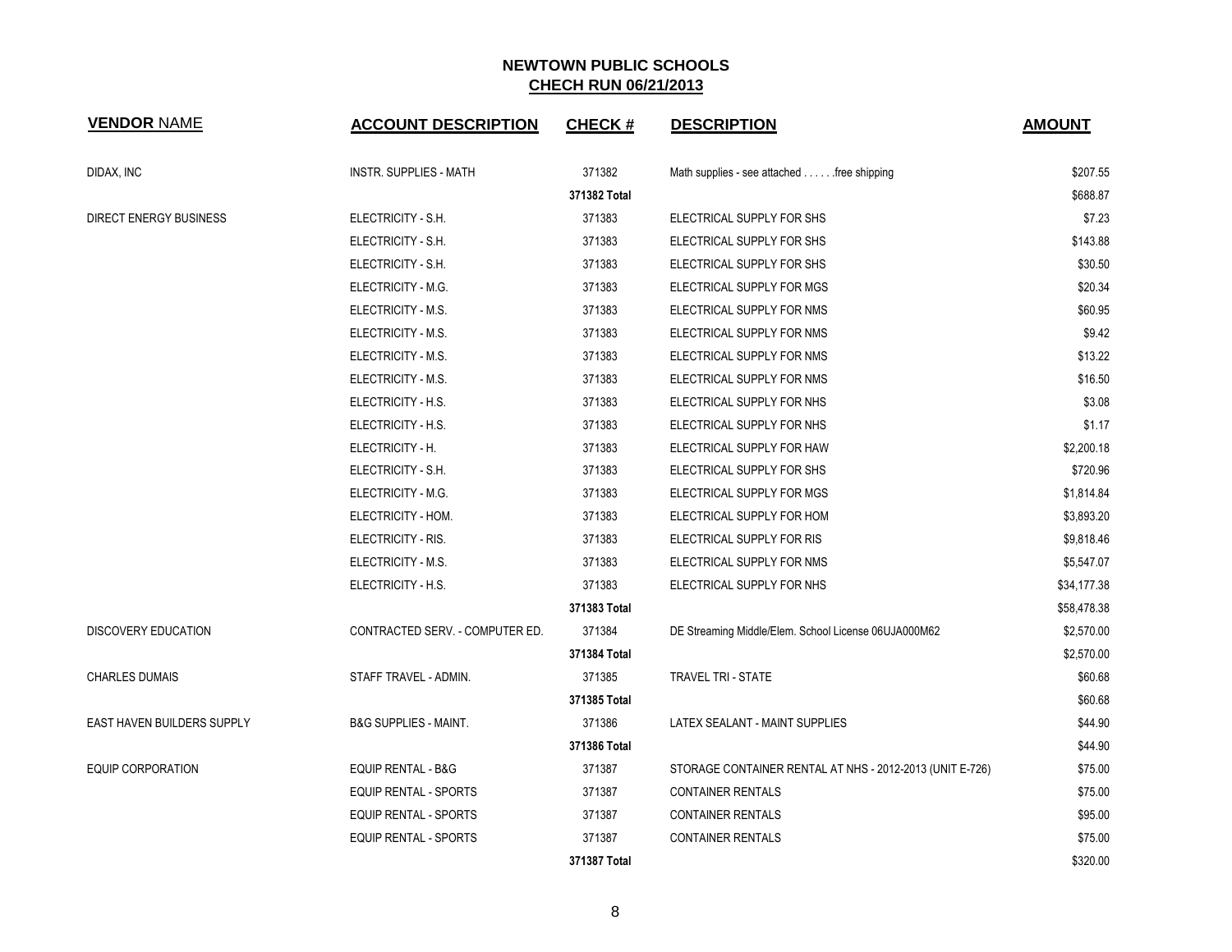| <b>VENDOR NAME</b>                | <b>ACCOUNT DESCRIPTION</b>       | <b>CHECK#</b> | <b>DESCRIPTION</b>                                       | <b>AMOUNT</b> |
|-----------------------------------|----------------------------------|---------------|----------------------------------------------------------|---------------|
| DIDAX, INC                        | <b>INSTR. SUPPLIES - MATH</b>    | 371382        | Math supplies - see attached free shipping               | \$207.55      |
|                                   |                                  | 371382 Total  |                                                          | \$688.87      |
| DIRECT ENERGY BUSINESS            | ELECTRICITY - S.H.               | 371383        | ELECTRICAL SUPPLY FOR SHS                                | \$7.23        |
|                                   | ELECTRICITY - S.H.               | 371383        | ELECTRICAL SUPPLY FOR SHS                                | \$143.88      |
|                                   | ELECTRICITY - S.H.               | 371383        | ELECTRICAL SUPPLY FOR SHS                                | \$30.50       |
|                                   | ELECTRICITY - M.G.               | 371383        | ELECTRICAL SUPPLY FOR MGS                                | \$20.34       |
|                                   | ELECTRICITY - M.S.               | 371383        | ELECTRICAL SUPPLY FOR NMS                                | \$60.95       |
|                                   | ELECTRICITY - M.S.               | 371383        | ELECTRICAL SUPPLY FOR NMS                                | \$9.42        |
|                                   | ELECTRICITY - M.S.               | 371383        | ELECTRICAL SUPPLY FOR NMS                                | \$13.22       |
|                                   | ELECTRICITY - M.S.               | 371383        | ELECTRICAL SUPPLY FOR NMS                                | \$16.50       |
|                                   | ELECTRICITY - H.S.               | 371383        | ELECTRICAL SUPPLY FOR NHS                                | \$3.08        |
|                                   | ELECTRICITY - H.S.               | 371383        | ELECTRICAL SUPPLY FOR NHS                                | \$1.17        |
|                                   | ELECTRICITY - H.                 | 371383        | ELECTRICAL SUPPLY FOR HAW                                | \$2,200.18    |
|                                   | ELECTRICITY - S.H.               | 371383        | ELECTRICAL SUPPLY FOR SHS                                | \$720.96      |
|                                   | ELECTRICITY - M.G.               | 371383        | ELECTRICAL SUPPLY FOR MGS                                | \$1,814.84    |
|                                   | ELECTRICITY - HOM.               | 371383        | ELECTRICAL SUPPLY FOR HOM                                | \$3,893.20    |
|                                   | ELECTRICITY - RIS.               | 371383        | ELECTRICAL SUPPLY FOR RIS                                | \$9,818.46    |
|                                   | ELECTRICITY - M.S.               | 371383        | ELECTRICAL SUPPLY FOR NMS                                | \$5,547.07    |
|                                   | ELECTRICITY - H.S.               | 371383        | ELECTRICAL SUPPLY FOR NHS                                | \$34,177.38   |
|                                   |                                  | 371383 Total  |                                                          | \$58,478.38   |
| <b>DISCOVERY EDUCATION</b>        | CONTRACTED SERV. - COMPUTER ED.  | 371384        | DE Streaming Middle/Elem. School License 06UJA000M62     | \$2,570.00    |
|                                   |                                  | 371384 Total  |                                                          | \$2,570.00    |
| <b>CHARLES DUMAIS</b>             | STAFF TRAVEL - ADMIN.            | 371385        | <b>TRAVEL TRI - STATE</b>                                | \$60.68       |
|                                   |                                  | 371385 Total  |                                                          | \$60.68       |
| <b>EAST HAVEN BUILDERS SUPPLY</b> | <b>B&amp;G SUPPLIES - MAINT.</b> | 371386        | LATEX SEALANT - MAINT SUPPLIES                           | \$44.90       |
|                                   |                                  | 371386 Total  |                                                          | \$44.90       |
| <b>EQUIP CORPORATION</b>          | <b>EQUIP RENTAL - B&amp;G</b>    | 371387        | STORAGE CONTAINER RENTAL AT NHS - 2012-2013 (UNIT E-726) | \$75.00       |
|                                   | EQUIP RENTAL - SPORTS            | 371387        | <b>CONTAINER RENTALS</b>                                 | \$75.00       |
|                                   | EQUIP RENTAL - SPORTS            | 371387        | <b>CONTAINER RENTALS</b>                                 | \$95.00       |
|                                   | <b>EQUIP RENTAL - SPORTS</b>     | 371387        | <b>CONTAINER RENTALS</b>                                 | \$75.00       |
|                                   |                                  | 371387 Total  |                                                          | \$320.00      |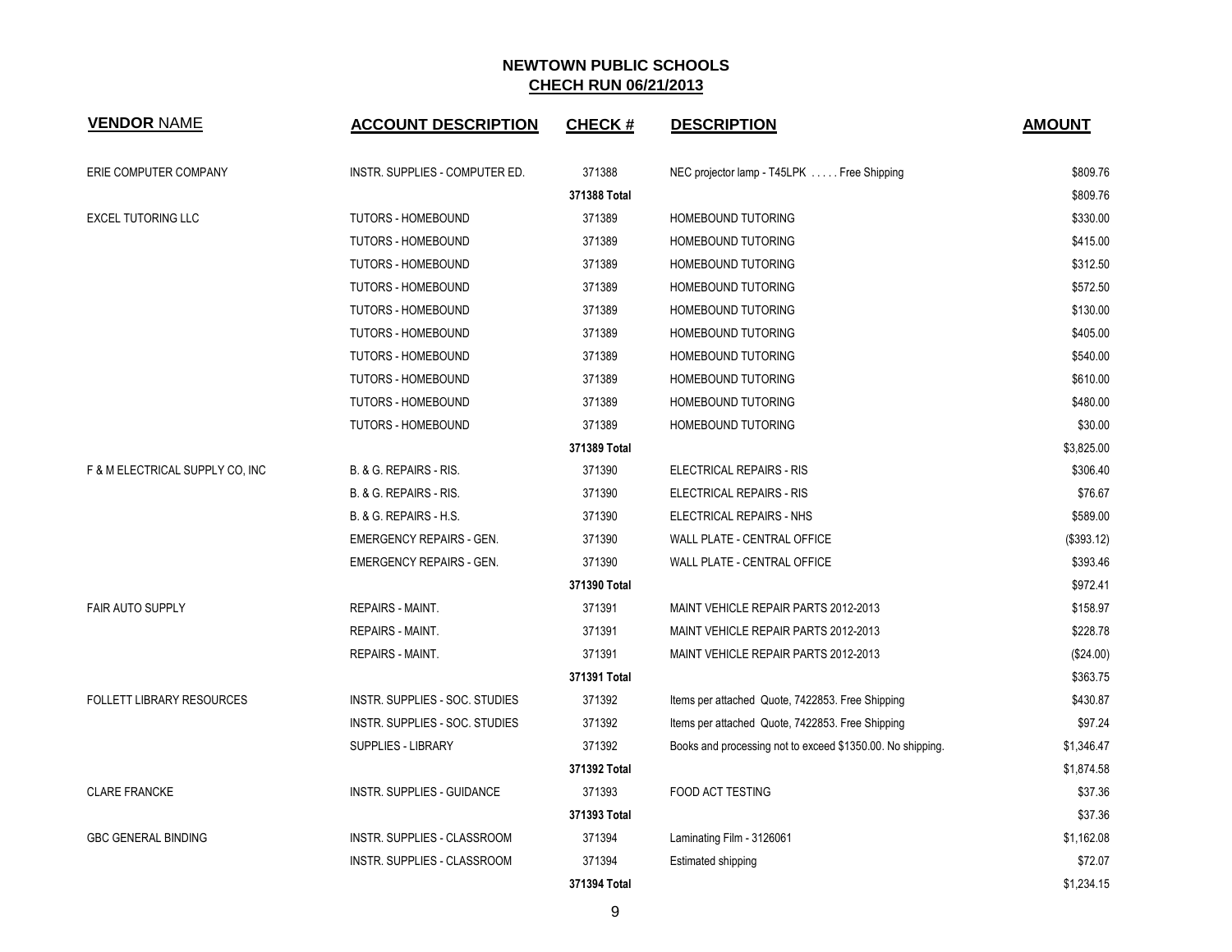| <b>VENDOR NAME</b>               | <b>ACCOUNT DESCRIPTION</b>      | <b>CHECK#</b> | <b>DESCRIPTION</b>                                         | <b>AMOUNT</b> |
|----------------------------------|---------------------------------|---------------|------------------------------------------------------------|---------------|
| ERIE COMPUTER COMPANY            | INSTR. SUPPLIES - COMPUTER ED.  | 371388        | NEC projector lamp - T45LPK  Free Shipping                 | \$809.76      |
|                                  |                                 | 371388 Total  |                                                            | \$809.76      |
| <b>EXCEL TUTORING LLC</b>        | TUTORS - HOMEBOUND              | 371389        | HOMEBOUND TUTORING                                         | \$330.00      |
|                                  | TUTORS - HOMEBOUND              | 371389        | HOMEBOUND TUTORING                                         | \$415.00      |
|                                  | TUTORS - HOMEBOUND              | 371389        | HOMEBOUND TUTORING                                         | \$312.50      |
|                                  | TUTORS - HOMEBOUND              | 371389        | HOMEBOUND TUTORING                                         | \$572.50      |
|                                  | TUTORS - HOMEBOUND              | 371389        | HOMEBOUND TUTORING                                         | \$130.00      |
|                                  | TUTORS - HOMEBOUND              | 371389        | HOMEBOUND TUTORING                                         | \$405.00      |
|                                  | <b>TUTORS - HOMEBOUND</b>       | 371389        | HOMEBOUND TUTORING                                         | \$540.00      |
|                                  | <b>TUTORS - HOMEBOUND</b>       | 371389        | HOMEBOUND TUTORING                                         | \$610.00      |
|                                  | TUTORS - HOMEBOUND              | 371389        | HOMEBOUND TUTORING                                         | \$480.00      |
|                                  | <b>TUTORS - HOMEBOUND</b>       | 371389        | HOMEBOUND TUTORING                                         | \$30.00       |
|                                  |                                 | 371389 Total  |                                                            | \$3,825.00    |
| F & M ELECTRICAL SUPPLY CO, INC  | B. & G. REPAIRS - RIS.          | 371390        | <b>ELECTRICAL REPAIRS - RIS</b>                            | \$306.40      |
|                                  | B. & G. REPAIRS - RIS.          | 371390        | ELECTRICAL REPAIRS - RIS                                   | \$76.67       |
|                                  | B. & G. REPAIRS - H.S.          | 371390        | ELECTRICAL REPAIRS - NHS                                   | \$589.00      |
|                                  | <b>EMERGENCY REPAIRS - GEN.</b> | 371390        | WALL PLATE - CENTRAL OFFICE                                | (\$393.12)    |
|                                  | <b>EMERGENCY REPAIRS - GEN.</b> | 371390        | WALL PLATE - CENTRAL OFFICE                                | \$393.46      |
|                                  |                                 | 371390 Total  |                                                            | \$972.41      |
| <b>FAIR AUTO SUPPLY</b>          | <b>REPAIRS - MAINT.</b>         | 371391        | MAINT VEHICLE REPAIR PARTS 2012-2013                       | \$158.97      |
|                                  | <b>REPAIRS - MAINT.</b>         | 371391        | MAINT VEHICLE REPAIR PARTS 2012-2013                       | \$228.78      |
|                                  | <b>REPAIRS - MAINT.</b>         | 371391        | MAINT VEHICLE REPAIR PARTS 2012-2013                       | (\$24.00)     |
|                                  |                                 | 371391 Total  |                                                            | \$363.75      |
| <b>FOLLETT LIBRARY RESOURCES</b> | INSTR. SUPPLIES - SOC. STUDIES  | 371392        | Items per attached Quote, 7422853. Free Shipping           | \$430.87      |
|                                  | INSTR. SUPPLIES - SOC. STUDIES  | 371392        | Items per attached Quote, 7422853. Free Shipping           | \$97.24       |
|                                  | <b>SUPPLIES - LIBRARY</b>       | 371392        | Books and processing not to exceed \$1350.00. No shipping. | \$1,346.47    |
|                                  |                                 | 371392 Total  |                                                            | \$1,874.58    |
| <b>CLARE FRANCKE</b>             | INSTR. SUPPLIES - GUIDANCE      | 371393        | <b>FOOD ACT TESTING</b>                                    | \$37.36       |
|                                  |                                 | 371393 Total  |                                                            | \$37.36       |
| <b>GBC GENERAL BINDING</b>       | INSTR. SUPPLIES - CLASSROOM     | 371394        | Laminating Film - 3126061                                  | \$1,162.08    |
|                                  | INSTR. SUPPLIES - CLASSROOM     | 371394        | <b>Estimated shipping</b>                                  | \$72.07       |
|                                  |                                 | 371394 Total  |                                                            | \$1,234.15    |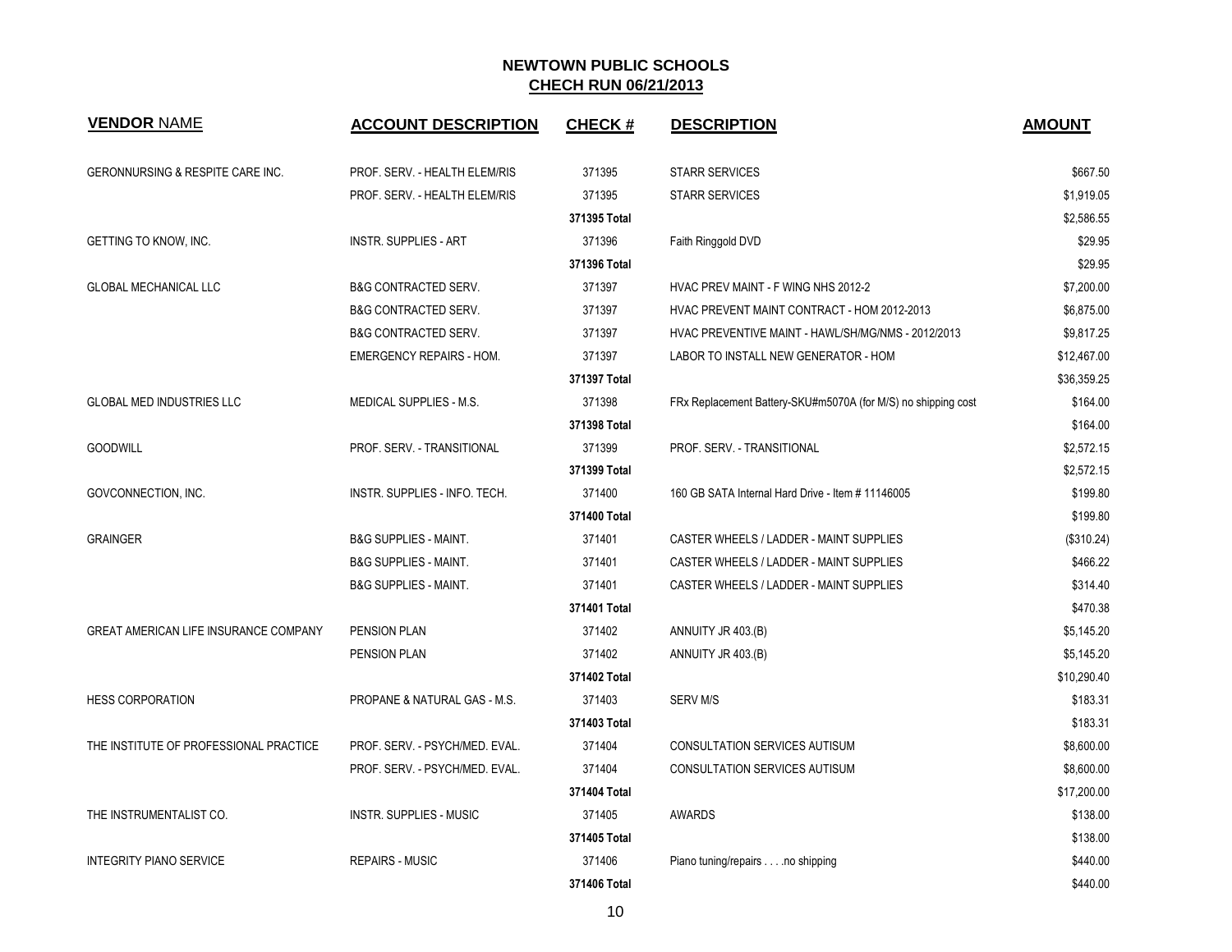| <b>VENDOR NAME</b>                           | <b>ACCOUNT DESCRIPTION</b>       | <b>CHECK#</b> | <b>DESCRIPTION</b>                                            | <b>AMOUNT</b> |
|----------------------------------------------|----------------------------------|---------------|---------------------------------------------------------------|---------------|
| <b>GERONNURSING &amp; RESPITE CARE INC.</b>  | PROF. SERV. - HEALTH ELEM/RIS    | 371395        | <b>STARR SERVICES</b>                                         | \$667.50      |
|                                              | PROF. SERV. - HEALTH ELEM/RIS    | 371395        | <b>STARR SERVICES</b>                                         | \$1,919.05    |
|                                              |                                  | 371395 Total  |                                                               | \$2,586.55    |
| GETTING TO KNOW, INC.                        | <b>INSTR. SUPPLIES - ART</b>     | 371396        | Faith Ringgold DVD                                            | \$29.95       |
|                                              |                                  | 371396 Total  |                                                               | \$29.95       |
| <b>GLOBAL MECHANICAL LLC</b>                 | <b>B&amp;G CONTRACTED SERV.</b>  | 371397        | HVAC PREV MAINT - F WING NHS 2012-2                           | \$7,200.00    |
|                                              | <b>B&amp;G CONTRACTED SERV.</b>  | 371397        | HVAC PREVENT MAINT CONTRACT - HOM 2012-2013                   | \$6,875.00    |
|                                              | <b>B&amp;G CONTRACTED SERV.</b>  | 371397        | HVAC PREVENTIVE MAINT - HAWL/SH/MG/NMS - 2012/2013            | \$9,817.25    |
|                                              | <b>EMERGENCY REPAIRS - HOM.</b>  | 371397        | LABOR TO INSTALL NEW GENERATOR - HOM                          | \$12,467.00   |
|                                              |                                  | 371397 Total  |                                                               | \$36,359.25   |
| <b>GLOBAL MED INDUSTRIES LLC</b>             | MEDICAL SUPPLIES - M.S.          | 371398        | FRx Replacement Battery-SKU#m5070A (for M/S) no shipping cost | \$164.00      |
|                                              |                                  | 371398 Total  |                                                               | \$164.00      |
| <b>GOODWILL</b>                              | PROF. SERV. - TRANSITIONAL       | 371399        | PROF. SERV. - TRANSITIONAL                                    | \$2,572.15    |
|                                              |                                  | 371399 Total  |                                                               | \$2,572.15    |
| GOVCONNECTION, INC.                          | INSTR. SUPPLIES - INFO. TECH.    | 371400        | 160 GB SATA Internal Hard Drive - Item #11146005              | \$199.80      |
|                                              |                                  | 371400 Total  |                                                               | \$199.80      |
| <b>GRAINGER</b>                              | <b>B&amp;G SUPPLIES - MAINT.</b> | 371401        | CASTER WHEELS / LADDER - MAINT SUPPLIES                       | (\$310.24)    |
|                                              | <b>B&amp;G SUPPLIES - MAINT.</b> | 371401        | CASTER WHEELS / LADDER - MAINT SUPPLIES                       | \$466.22      |
|                                              | <b>B&amp;G SUPPLIES - MAINT.</b> | 371401        | CASTER WHEELS / LADDER - MAINT SUPPLIES                       | \$314.40      |
|                                              |                                  | 371401 Total  |                                                               | \$470.38      |
| <b>GREAT AMERICAN LIFE INSURANCE COMPANY</b> | <b>PENSION PLAN</b>              | 371402        | ANNUITY JR 403.(B)                                            | \$5,145.20    |
|                                              | PENSION PLAN                     | 371402        | ANNUITY JR 403.(B)                                            | \$5,145.20    |
|                                              |                                  | 371402 Total  |                                                               | \$10,290.40   |
| <b>HESS CORPORATION</b>                      | PROPANE & NATURAL GAS - M.S.     | 371403        | <b>SERV M/S</b>                                               | \$183.31      |
|                                              |                                  | 371403 Total  |                                                               | \$183.31      |
| THE INSTITUTE OF PROFESSIONAL PRACTICE       | PROF. SERV. - PSYCH/MED. EVAL.   | 371404        | <b>CONSULTATION SERVICES AUTISUM</b>                          | \$8,600.00    |
|                                              | PROF. SERV. - PSYCH/MED. EVAL.   | 371404        | CONSULTATION SERVICES AUTISUM                                 | \$8,600.00    |
|                                              |                                  | 371404 Total  |                                                               | \$17,200.00   |
| THE INSTRUMENTALIST CO.                      | <b>INSTR. SUPPLIES - MUSIC</b>   | 371405        | <b>AWARDS</b>                                                 | \$138.00      |
|                                              |                                  | 371405 Total  |                                                               | \$138.00      |
| <b>INTEGRITY PIANO SERVICE</b>               | <b>REPAIRS - MUSIC</b>           | 371406        | Piano tuning/repairs no shipping                              | \$440.00      |
|                                              |                                  | 371406 Total  |                                                               | \$440.00      |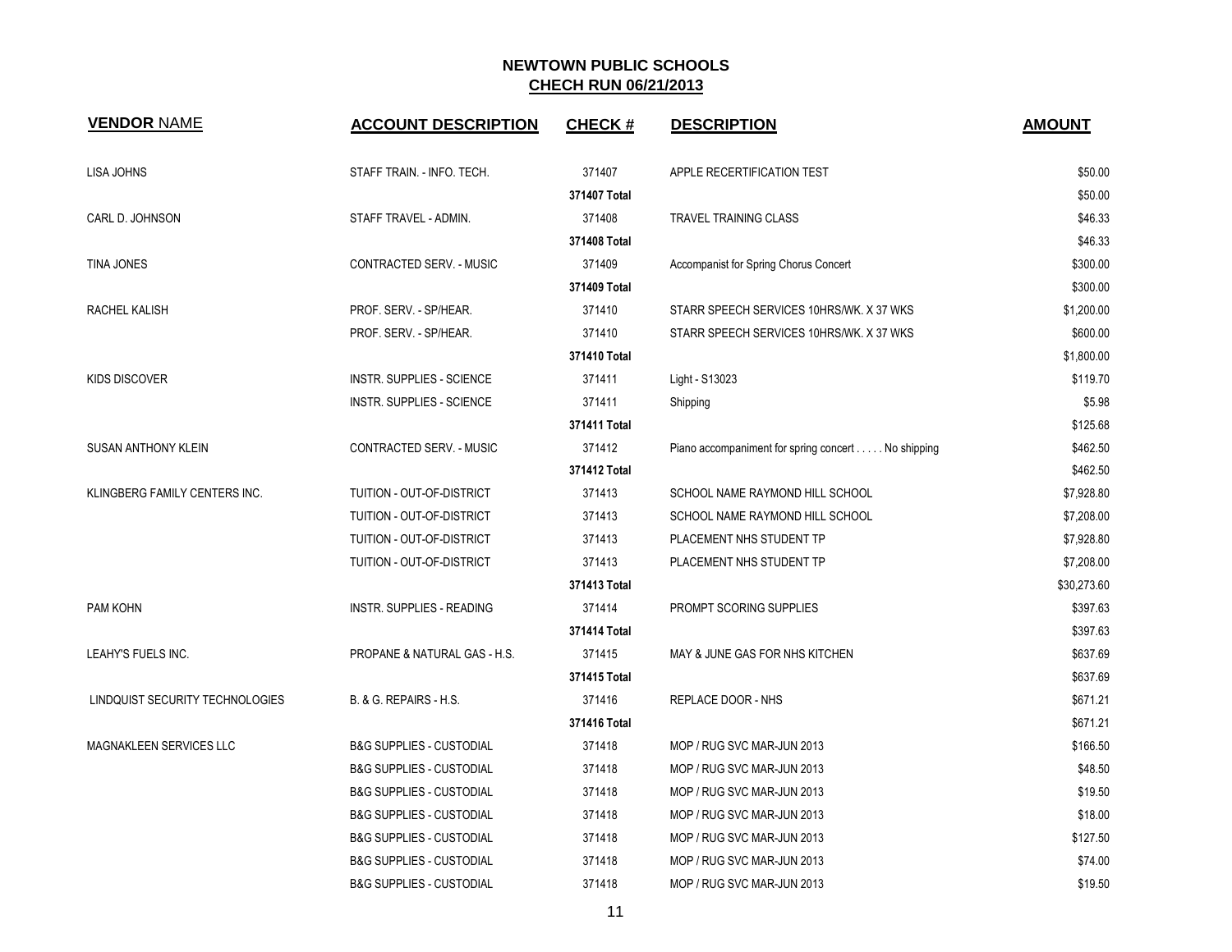| <b>VENDOR NAME</b>              | <b>ACCOUNT DESCRIPTION</b>              | <b>CHECK#</b> | <b>DESCRIPTION</b>                                 | <b>AMOUNT</b> |
|---------------------------------|-----------------------------------------|---------------|----------------------------------------------------|---------------|
| LISA JOHNS                      | STAFF TRAIN. - INFO. TECH.              | 371407        | APPLE RECERTIFICATION TEST                         | \$50.00       |
|                                 |                                         | 371407 Total  |                                                    | \$50.00       |
| CARL D. JOHNSON                 | STAFF TRAVEL - ADMIN.                   | 371408        | <b>TRAVEL TRAINING CLASS</b>                       | \$46.33       |
|                                 |                                         | 371408 Total  |                                                    | \$46.33       |
| TINA JONES                      | CONTRACTED SERV. - MUSIC                | 371409        | Accompanist for Spring Chorus Concert              | \$300.00      |
|                                 |                                         | 371409 Total  |                                                    | \$300.00      |
| RACHEL KALISH                   | PROF. SERV. - SP/HEAR.                  | 371410        | STARR SPEECH SERVICES 10HRS/WK. X 37 WKS           | \$1,200.00    |
|                                 | PROF. SERV. - SP/HEAR.                  | 371410        | STARR SPEECH SERVICES 10HRS/WK. X 37 WKS           | \$600.00      |
|                                 |                                         | 371410 Total  |                                                    | \$1,800.00    |
| <b>KIDS DISCOVER</b>            | <b>INSTR. SUPPLIES - SCIENCE</b>        | 371411        | Light - S13023                                     | \$119.70      |
|                                 | <b>INSTR. SUPPLIES - SCIENCE</b>        | 371411        | Shipping                                           | \$5.98        |
|                                 |                                         | 371411 Total  |                                                    | \$125.68      |
| SUSAN ANTHONY KLEIN             | CONTRACTED SERV. - MUSIC                | 371412        | Piano accompaniment for spring concert No shipping | \$462.50      |
|                                 |                                         | 371412 Total  |                                                    | \$462.50      |
| KLINGBERG FAMILY CENTERS INC.   | TUITION - OUT-OF-DISTRICT               | 371413        | SCHOOL NAME RAYMOND HILL SCHOOL                    | \$7,928.80    |
|                                 | TUITION - OUT-OF-DISTRICT               | 371413        | SCHOOL NAME RAYMOND HILL SCHOOL                    | \$7,208.00    |
|                                 | TUITION - OUT-OF-DISTRICT               | 371413        | PLACEMENT NHS STUDENT TP                           | \$7,928.80    |
|                                 | TUITION - OUT-OF-DISTRICT               | 371413        | PLACEMENT NHS STUDENT TP                           | \$7,208.00    |
|                                 |                                         | 371413 Total  |                                                    | \$30,273.60   |
| PAM KOHN                        | <b>INSTR. SUPPLIES - READING</b>        | 371414        | PROMPT SCORING SUPPLIES                            | \$397.63      |
|                                 |                                         | 371414 Total  |                                                    | \$397.63      |
| LEAHY'S FUELS INC.              | <b>PROPANE &amp; NATURAL GAS - H.S.</b> | 371415        | MAY & JUNE GAS FOR NHS KITCHEN                     | \$637.69      |
|                                 |                                         | 371415 Total  |                                                    | \$637.69      |
| LINDQUIST SECURITY TECHNOLOGIES | B. & G. REPAIRS - H.S.                  | 371416        | <b>REPLACE DOOR - NHS</b>                          | \$671.21      |
|                                 |                                         | 371416 Total  |                                                    | \$671.21      |
| MAGNAKLEEN SERVICES LLC         | <b>B&amp;G SUPPLIES - CUSTODIAL</b>     | 371418        | MOP / RUG SVC MAR-JUN 2013                         | \$166.50      |
|                                 | <b>B&amp;G SUPPLIES - CUSTODIAL</b>     | 371418        | MOP / RUG SVC MAR-JUN 2013                         | \$48.50       |
|                                 | <b>B&amp;G SUPPLIES - CUSTODIAL</b>     | 371418        | MOP / RUG SVC MAR-JUN 2013                         | \$19.50       |
|                                 | <b>B&amp;G SUPPLIES - CUSTODIAL</b>     | 371418        | MOP / RUG SVC MAR-JUN 2013                         | \$18.00       |
|                                 | <b>B&amp;G SUPPLIES - CUSTODIAL</b>     | 371418        | MOP / RUG SVC MAR-JUN 2013                         | \$127.50      |
|                                 | <b>B&amp;G SUPPLIES - CUSTODIAL</b>     | 371418        | MOP / RUG SVC MAR-JUN 2013                         | \$74.00       |
|                                 | <b>B&amp;G SUPPLIES - CUSTODIAL</b>     | 371418        | MOP / RUG SVC MAR-JUN 2013                         | \$19.50       |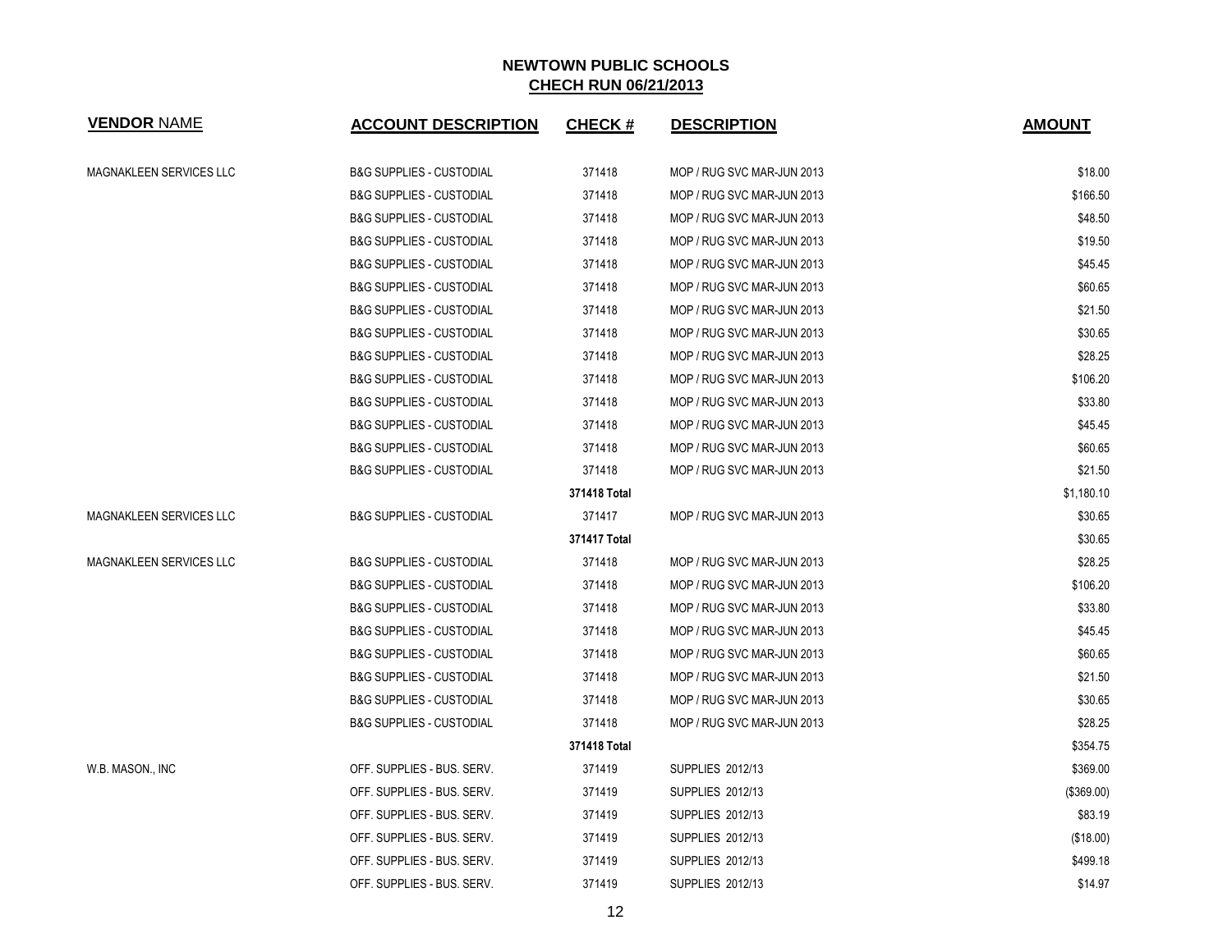| <b>VENDOR NAME</b>             | <b>ACCOUNT DESCRIPTION</b>          | <b>CHECK#</b> | <b>DESCRIPTION</b>         | <b>AMOUNT</b> |
|--------------------------------|-------------------------------------|---------------|----------------------------|---------------|
| MAGNAKLEEN SERVICES LLC        | <b>B&amp;G SUPPLIES - CUSTODIAL</b> | 371418        | MOP / RUG SVC MAR-JUN 2013 | \$18.00       |
|                                | <b>B&amp;G SUPPLIES - CUSTODIAL</b> | 371418        | MOP / RUG SVC MAR-JUN 2013 | \$166.50      |
|                                | <b>B&amp;G SUPPLIES - CUSTODIAL</b> | 371418        | MOP / RUG SVC MAR-JUN 2013 | \$48.50       |
|                                | <b>B&amp;G SUPPLIES - CUSTODIAL</b> | 371418        | MOP / RUG SVC MAR-JUN 2013 | \$19.50       |
|                                | <b>B&amp;G SUPPLIES - CUSTODIAL</b> | 371418        | MOP / RUG SVC MAR-JUN 2013 | \$45.45       |
|                                | <b>B&amp;G SUPPLIES - CUSTODIAL</b> | 371418        | MOP / RUG SVC MAR-JUN 2013 | \$60.65       |
|                                | <b>B&amp;G SUPPLIES - CUSTODIAL</b> | 371418        | MOP / RUG SVC MAR-JUN 2013 | \$21.50       |
|                                | <b>B&amp;G SUPPLIES - CUSTODIAL</b> | 371418        | MOP / RUG SVC MAR-JUN 2013 | \$30.65       |
|                                | <b>B&amp;G SUPPLIES - CUSTODIAL</b> | 371418        | MOP / RUG SVC MAR-JUN 2013 | \$28.25       |
|                                | <b>B&amp;G SUPPLIES - CUSTODIAL</b> | 371418        | MOP / RUG SVC MAR-JUN 2013 | \$106.20      |
|                                | <b>B&amp;G SUPPLIES - CUSTODIAL</b> | 371418        | MOP / RUG SVC MAR-JUN 2013 | \$33.80       |
|                                | <b>B&amp;G SUPPLIES - CUSTODIAL</b> | 371418        | MOP / RUG SVC MAR-JUN 2013 | \$45.45       |
|                                | <b>B&amp;G SUPPLIES - CUSTODIAL</b> | 371418        | MOP / RUG SVC MAR-JUN 2013 | \$60.65       |
|                                | <b>B&amp;G SUPPLIES - CUSTODIAL</b> | 371418        | MOP / RUG SVC MAR-JUN 2013 | \$21.50       |
|                                |                                     | 371418 Total  |                            | \$1,180.10    |
| <b>MAGNAKLEEN SERVICES LLC</b> | <b>B&amp;G SUPPLIES - CUSTODIAL</b> | 371417        | MOP / RUG SVC MAR-JUN 2013 | \$30.65       |
|                                |                                     | 371417 Total  |                            | \$30.65       |
| MAGNAKLEEN SERVICES LLC        | <b>B&amp;G SUPPLIES - CUSTODIAL</b> | 371418        | MOP / RUG SVC MAR-JUN 2013 | \$28.25       |
|                                | <b>B&amp;G SUPPLIES - CUSTODIAL</b> | 371418        | MOP / RUG SVC MAR-JUN 2013 | \$106.20      |
|                                | <b>B&amp;G SUPPLIES - CUSTODIAL</b> | 371418        | MOP / RUG SVC MAR-JUN 2013 | \$33.80       |
|                                | <b>B&amp;G SUPPLIES - CUSTODIAL</b> | 371418        | MOP / RUG SVC MAR-JUN 2013 | \$45.45       |
|                                | <b>B&amp;G SUPPLIES - CUSTODIAL</b> | 371418        | MOP / RUG SVC MAR-JUN 2013 | \$60.65       |
|                                | <b>B&amp;G SUPPLIES - CUSTODIAL</b> | 371418        | MOP / RUG SVC MAR-JUN 2013 | \$21.50       |
|                                | <b>B&amp;G SUPPLIES - CUSTODIAL</b> | 371418        | MOP / RUG SVC MAR-JUN 2013 | \$30.65       |
|                                | <b>B&amp;G SUPPLIES - CUSTODIAL</b> | 371418        | MOP / RUG SVC MAR-JUN 2013 | \$28.25       |
|                                |                                     | 371418 Total  |                            | \$354.75      |
| W.B. MASON., INC               | OFF. SUPPLIES - BUS. SERV.          | 371419        | <b>SUPPLIES 2012/13</b>    | \$369.00      |
|                                | OFF. SUPPLIES - BUS. SERV.          | 371419        | <b>SUPPLIES 2012/13</b>    | (\$369.00)    |
|                                | OFF. SUPPLIES - BUS. SERV.          | 371419        | SUPPLIES 2012/13           | \$83.19       |
|                                | OFF. SUPPLIES - BUS. SERV.          | 371419        | SUPPLIES 2012/13           | (\$18.00)     |
|                                | OFF. SUPPLIES - BUS. SERV.          | 371419        | SUPPLIES 2012/13           | \$499.18      |
|                                | OFF. SUPPLIES - BUS. SERV.          | 371419        | SUPPLIES 2012/13           | \$14.97       |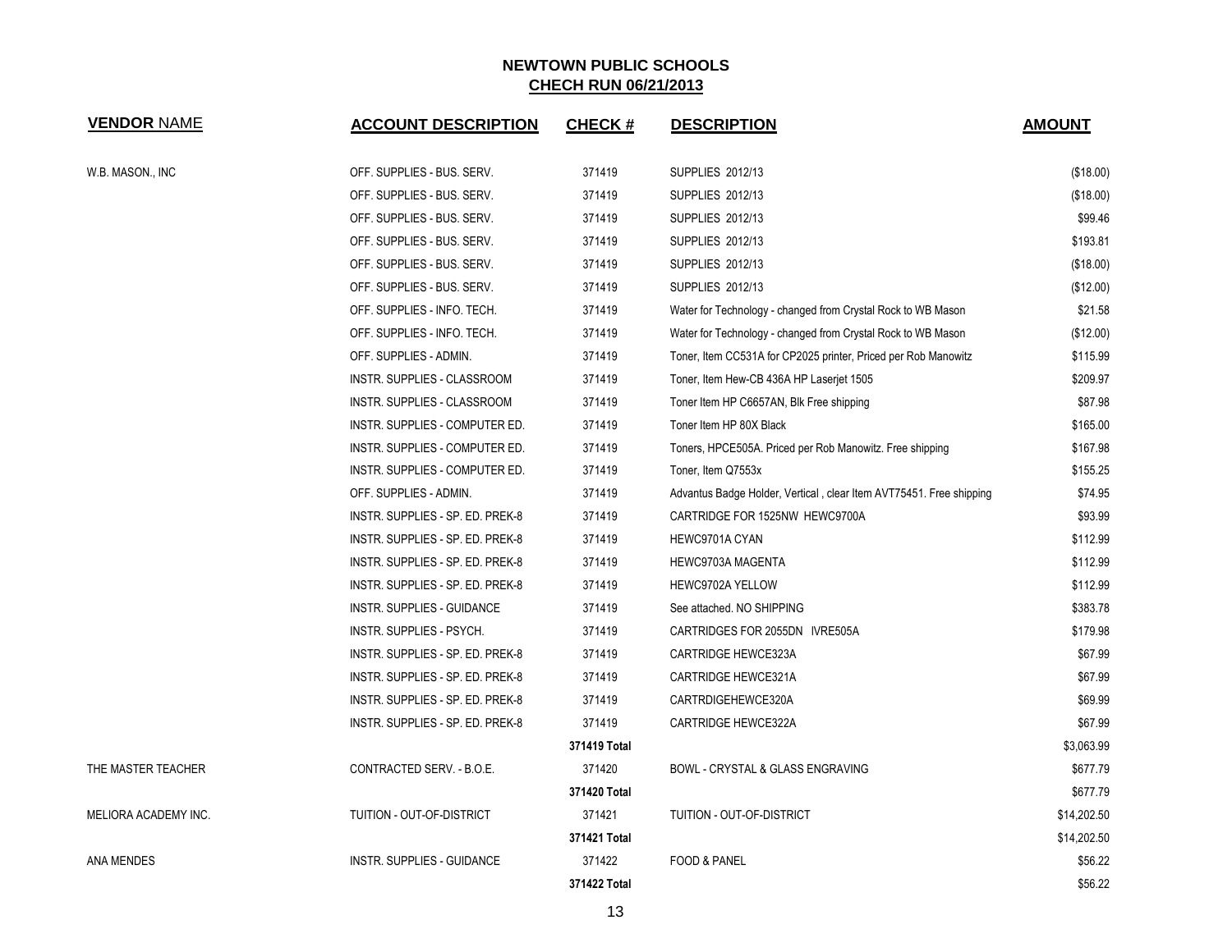| <b>VENDOR NAME</b>   | <b>ACCOUNT DESCRIPTION</b>       | <b>CHECK#</b> | <b>DESCRIPTION</b>                                                  | <b>AMOUNT</b> |
|----------------------|----------------------------------|---------------|---------------------------------------------------------------------|---------------|
| W.B. MASON., INC     | OFF. SUPPLIES - BUS. SERV.       | 371419        | SUPPLIES 2012/13                                                    | (\$18.00)     |
|                      | OFF. SUPPLIES - BUS. SERV.       | 371419        | SUPPLIES 2012/13                                                    | (\$18.00)     |
|                      | OFF. SUPPLIES - BUS. SERV.       | 371419        | SUPPLIES 2012/13                                                    | \$99.46       |
|                      | OFF. SUPPLIES - BUS. SERV.       | 371419        | <b>SUPPLIES 2012/13</b>                                             | \$193.81      |
|                      | OFF. SUPPLIES - BUS. SERV.       | 371419        | SUPPLIES 2012/13                                                    | (\$18.00)     |
|                      | OFF. SUPPLIES - BUS. SERV.       | 371419        | <b>SUPPLIES 2012/13</b>                                             | (\$12.00)     |
|                      | OFF. SUPPLIES - INFO. TECH.      | 371419        | Water for Technology - changed from Crystal Rock to WB Mason        | \$21.58       |
|                      | OFF. SUPPLIES - INFO. TECH.      | 371419        | Water for Technology - changed from Crystal Rock to WB Mason        | $(\$12.00)$   |
|                      | OFF. SUPPLIES - ADMIN.           | 371419        | Toner, Item CC531A for CP2025 printer, Priced per Rob Manowitz      | \$115.99      |
|                      | INSTR. SUPPLIES - CLASSROOM      | 371419        | Toner, Item Hew-CB 436A HP Laserjet 1505                            | \$209.97      |
|                      | INSTR. SUPPLIES - CLASSROOM      | 371419        | Toner Item HP C6657AN, Blk Free shipping                            | \$87.98       |
|                      | INSTR. SUPPLIES - COMPUTER ED.   | 371419        | Toner Item HP 80X Black                                             | \$165.00      |
|                      | INSTR. SUPPLIES - COMPUTER ED.   | 371419        | Toners, HPCE505A. Priced per Rob Manowitz. Free shipping            | \$167.98      |
|                      | INSTR. SUPPLIES - COMPUTER ED.   | 371419        | Toner, Item Q7553x                                                  | \$155.25      |
|                      | OFF. SUPPLIES - ADMIN.           | 371419        | Advantus Badge Holder, Vertical, clear Item AVT75451. Free shipping | \$74.95       |
|                      | INSTR. SUPPLIES - SP. ED. PREK-8 | 371419        | CARTRIDGE FOR 1525NW HEWC9700A                                      | \$93.99       |
|                      | INSTR. SUPPLIES - SP. ED. PREK-8 | 371419        | HEWC9701A CYAN                                                      | \$112.99      |
|                      | INSTR. SUPPLIES - SP. ED. PREK-8 | 371419        | HEWC9703A MAGENTA                                                   | \$112.99      |
|                      | INSTR. SUPPLIES - SP. ED. PREK-8 | 371419        | HEWC9702A YELLOW                                                    | \$112.99      |
|                      | INSTR. SUPPLIES - GUIDANCE       | 371419        | See attached. NO SHIPPING                                           | \$383.78      |
|                      | INSTR. SUPPLIES - PSYCH.         | 371419        | CARTRIDGES FOR 2055DN IVRE505A                                      | \$179.98      |
|                      | INSTR. SUPPLIES - SP. ED. PREK-8 | 371419        | CARTRIDGE HEWCE323A                                                 | \$67.99       |
|                      | INSTR. SUPPLIES - SP. ED. PREK-8 | 371419        | CARTRIDGE HEWCE321A                                                 | \$67.99       |
|                      | INSTR. SUPPLIES - SP. ED. PREK-8 | 371419        | CARTRDIGEHEWCE320A                                                  | \$69.99       |
|                      | INSTR. SUPPLIES - SP. ED. PREK-8 | 371419        | CARTRIDGE HEWCE322A                                                 | \$67.99       |
|                      |                                  | 371419 Total  |                                                                     | \$3,063.99    |
| THE MASTER TEACHER   | CONTRACTED SERV. - B.O.E.        | 371420        | BOWL - CRYSTAL & GLASS ENGRAVING                                    | \$677.79      |
|                      |                                  | 371420 Total  |                                                                     | \$677.79      |
| MELIORA ACADEMY INC. | TUITION - OUT-OF-DISTRICT        | 371421        | TUITION - OUT-OF-DISTRICT                                           | \$14,202.50   |
|                      |                                  | 371421 Total  |                                                                     | \$14,202.50   |
| ANA MENDES           | INSTR. SUPPLIES - GUIDANCE       | 371422        | <b>FOOD &amp; PANEL</b>                                             | \$56.22       |
|                      |                                  | 371422 Total  |                                                                     | \$56.22       |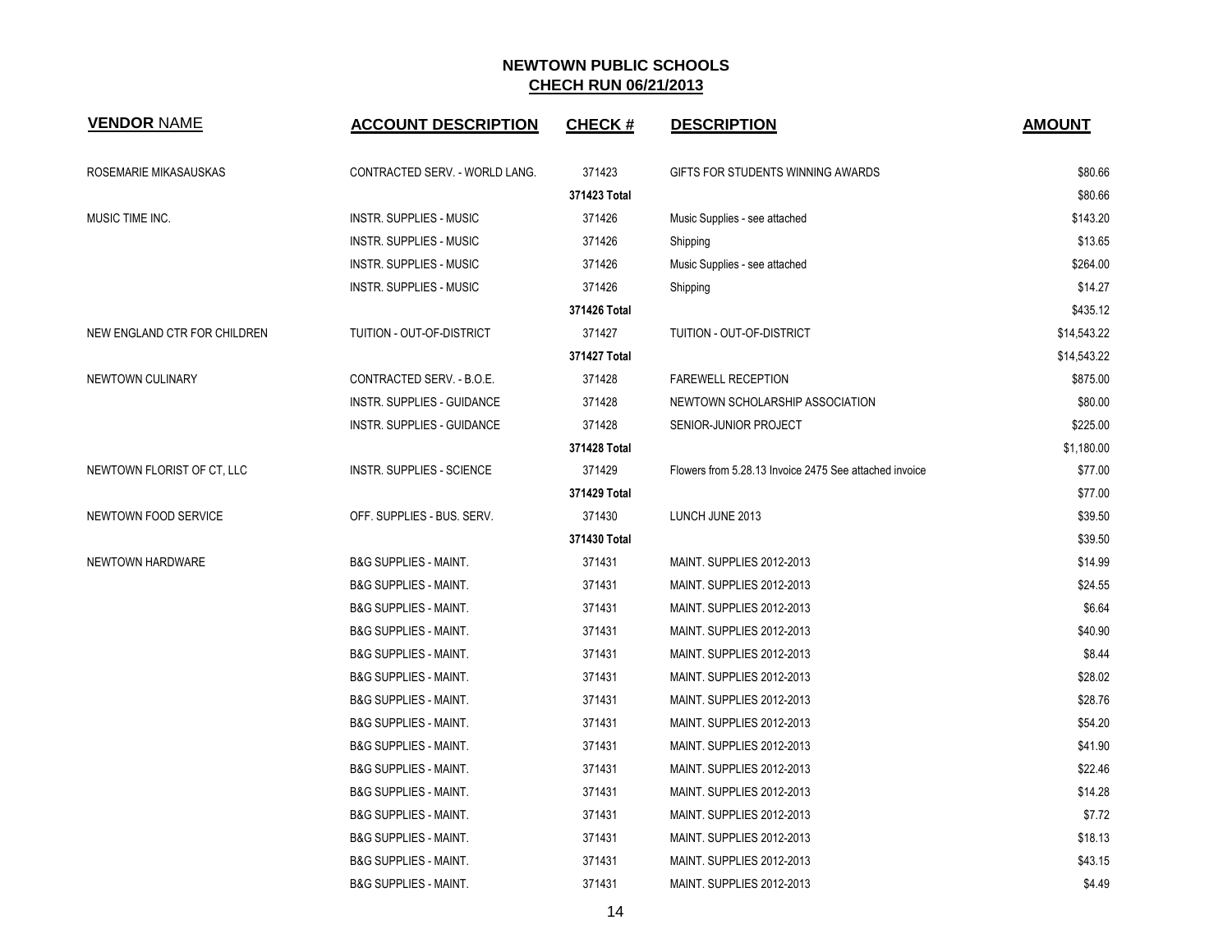| <b>VENDOR NAME</b>           | <b>ACCOUNT DESCRIPTION</b>        | <b>CHECK#</b> | <b>DESCRIPTION</b>                                     | <b>AMOUNT</b> |
|------------------------------|-----------------------------------|---------------|--------------------------------------------------------|---------------|
| ROSEMARIE MIKASAUSKAS        | CONTRACTED SERV. - WORLD LANG.    | 371423        | GIFTS FOR STUDENTS WINNING AWARDS                      | \$80.66       |
|                              |                                   | 371423 Total  |                                                        | \$80.66       |
| MUSIC TIME INC.              | <b>INSTR. SUPPLIES - MUSIC</b>    | 371426        | Music Supplies - see attached                          | \$143.20      |
|                              | <b>INSTR. SUPPLIES - MUSIC</b>    | 371426        | Shipping                                               | \$13.65       |
|                              | <b>INSTR. SUPPLIES - MUSIC</b>    | 371426        | Music Supplies - see attached                          | \$264.00      |
|                              | INSTR. SUPPLIES - MUSIC           | 371426        | Shipping                                               | \$14.27       |
|                              |                                   | 371426 Total  |                                                        | \$435.12      |
| NEW ENGLAND CTR FOR CHILDREN | TUITION - OUT-OF-DISTRICT         | 371427        | TUITION - OUT-OF-DISTRICT                              | \$14,543.22   |
|                              |                                   | 371427 Total  |                                                        | \$14,543.22   |
| NEWTOWN CULINARY             | CONTRACTED SERV. - B.O.E.         | 371428        | <b>FAREWELL RECEPTION</b>                              | \$875.00      |
|                              | <b>INSTR. SUPPLIES - GUIDANCE</b> | 371428        | NEWTOWN SCHOLARSHIP ASSOCIATION                        | \$80.00       |
|                              | <b>INSTR. SUPPLIES - GUIDANCE</b> | 371428        | SENIOR-JUNIOR PROJECT                                  | \$225.00      |
|                              |                                   | 371428 Total  |                                                        | \$1,180.00    |
| NEWTOWN FLORIST OF CT, LLC   | <b>INSTR. SUPPLIES - SCIENCE</b>  | 371429        | Flowers from 5.28.13 Invoice 2475 See attached invoice | \$77.00       |
|                              |                                   | 371429 Total  |                                                        | \$77.00       |
| NEWTOWN FOOD SERVICE         | OFF. SUPPLIES - BUS. SERV.        | 371430        | LUNCH JUNE 2013                                        | \$39.50       |
|                              |                                   | 371430 Total  |                                                        | \$39.50       |
| NEWTOWN HARDWARE             | <b>B&amp;G SUPPLIES - MAINT.</b>  | 371431        | MAINT. SUPPLIES 2012-2013                              | \$14.99       |
|                              | <b>B&amp;G SUPPLIES - MAINT.</b>  | 371431        | MAINT. SUPPLIES 2012-2013                              | \$24.55       |
|                              | <b>B&amp;G SUPPLIES - MAINT.</b>  | 371431        | <b>MAINT. SUPPLIES 2012-2013</b>                       | \$6.64        |
|                              | <b>B&amp;G SUPPLIES - MAINT.</b>  | 371431        | <b>MAINT. SUPPLIES 2012-2013</b>                       | \$40.90       |
|                              | <b>B&amp;G SUPPLIES - MAINT.</b>  | 371431        | MAINT. SUPPLIES 2012-2013                              | \$8.44        |
|                              | <b>B&amp;G SUPPLIES - MAINT.</b>  | 371431        | MAINT. SUPPLIES 2012-2013                              | \$28.02       |
|                              | <b>B&amp;G SUPPLIES - MAINT.</b>  | 371431        | MAINT. SUPPLIES 2012-2013                              | \$28.76       |
|                              | B&G SUPPLIES - MAINT.             | 371431        | MAINT. SUPPLIES 2012-2013                              | \$54.20       |
|                              | <b>B&amp;G SUPPLIES - MAINT.</b>  | 371431        | MAINT. SUPPLIES 2012-2013                              | \$41.90       |
|                              | <b>B&amp;G SUPPLIES - MAINT.</b>  | 371431        | MAINT. SUPPLIES 2012-2013                              | \$22.46       |
|                              | <b>B&amp;G SUPPLIES - MAINT.</b>  | 371431        | MAINT. SUPPLIES 2012-2013                              | \$14.28       |
|                              | <b>B&amp;G SUPPLIES - MAINT.</b>  | 371431        | MAINT. SUPPLIES 2012-2013                              | \$7.72        |
|                              | B&G SUPPLIES - MAINT.             | 371431        | MAINT. SUPPLIES 2012-2013                              | \$18.13       |
|                              | <b>B&amp;G SUPPLIES - MAINT.</b>  | 371431        | MAINT. SUPPLIES 2012-2013                              | \$43.15       |
|                              | <b>B&amp;G SUPPLIES - MAINT.</b>  | 371431        | MAINT. SUPPLIES 2012-2013                              | \$4.49        |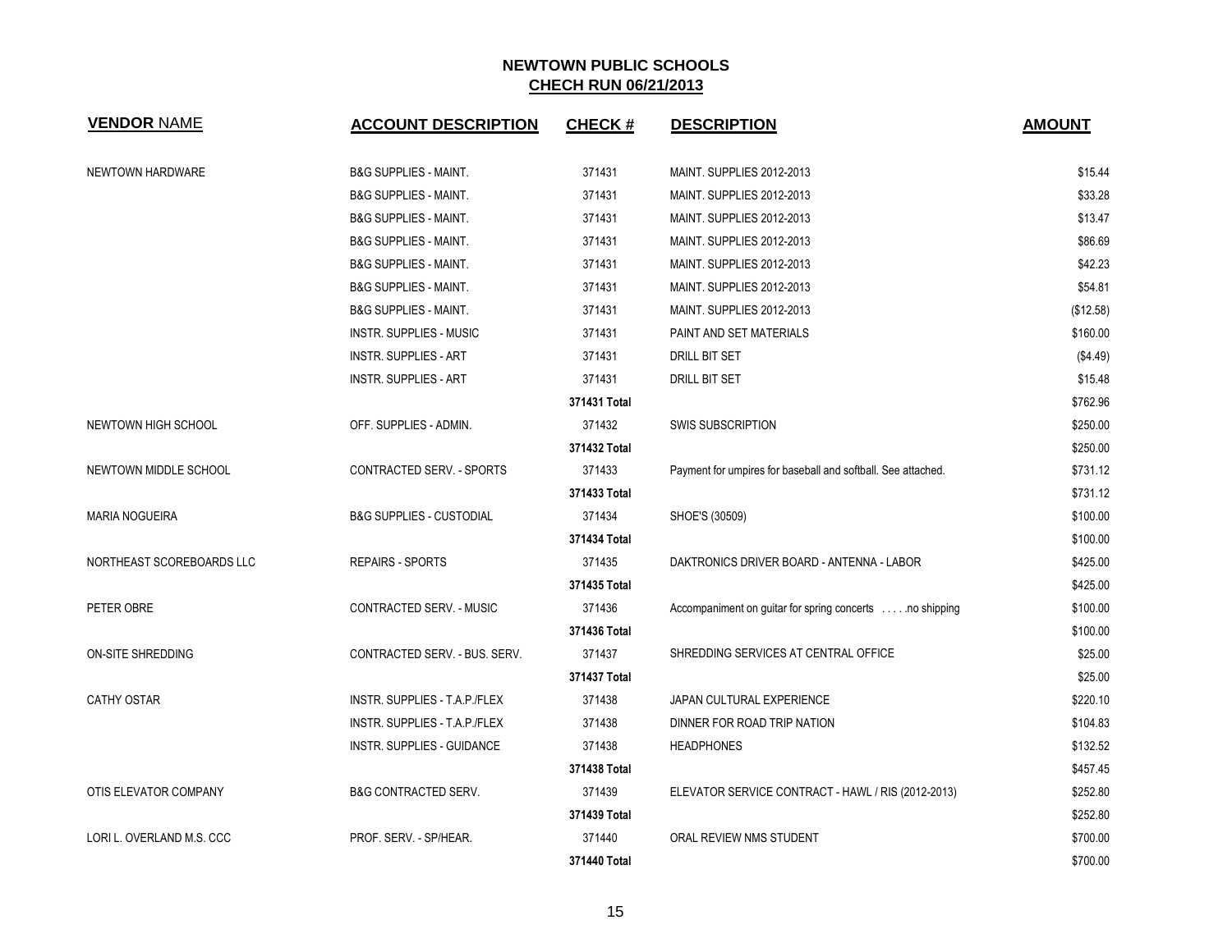| <b>VENDOR NAME</b>        | <b>ACCOUNT DESCRIPTION</b>          | <b>CHECK#</b> | <b>DESCRIPTION</b>                                           | <b>AMOUNT</b> |
|---------------------------|-------------------------------------|---------------|--------------------------------------------------------------|---------------|
| NEWTOWN HARDWARE          | <b>B&amp;G SUPPLIES - MAINT.</b>    | 371431        | MAINT. SUPPLIES 2012-2013                                    | \$15.44       |
|                           | <b>B&amp;G SUPPLIES - MAINT.</b>    | 371431        | MAINT. SUPPLIES 2012-2013                                    | \$33.28       |
|                           | <b>B&amp;G SUPPLIES - MAINT.</b>    | 371431        | MAINT. SUPPLIES 2012-2013                                    | \$13.47       |
|                           | <b>B&amp;G SUPPLIES - MAINT.</b>    | 371431        | MAINT. SUPPLIES 2012-2013                                    | \$86.69       |
|                           | <b>B&amp;G SUPPLIES - MAINT.</b>    | 371431        | MAINT. SUPPLIES 2012-2013                                    | \$42.23       |
|                           | <b>B&amp;G SUPPLIES - MAINT.</b>    | 371431        | MAINT. SUPPLIES 2012-2013                                    | \$54.81       |
|                           | <b>B&amp;G SUPPLIES - MAINT.</b>    | 371431        | MAINT. SUPPLIES 2012-2013                                    | (\$12.58)     |
|                           | <b>INSTR. SUPPLIES - MUSIC</b>      | 371431        | PAINT AND SET MATERIALS                                      | \$160.00      |
|                           | <b>INSTR. SUPPLIES - ART</b>        | 371431        | DRILL BIT SET                                                | (\$4.49)      |
|                           | <b>INSTR. SUPPLIES - ART</b>        | 371431        | DRILL BIT SET                                                | \$15.48       |
|                           |                                     | 371431 Total  |                                                              | \$762.96      |
| NEWTOWN HIGH SCHOOL       | OFF. SUPPLIES - ADMIN.              | 371432        | <b>SWIS SUBSCRIPTION</b>                                     | \$250.00      |
|                           |                                     | 371432 Total  |                                                              | \$250.00      |
| NEWTOWN MIDDLE SCHOOL     | CONTRACTED SERV. - SPORTS           | 371433        | Payment for umpires for baseball and softball. See attached. | \$731.12      |
|                           |                                     | 371433 Total  |                                                              | \$731.12      |
| <b>MARIA NOGUEIRA</b>     | <b>B&amp;G SUPPLIES - CUSTODIAL</b> | 371434        | SHOE'S (30509)                                               | \$100.00      |
|                           |                                     | 371434 Total  |                                                              | \$100.00      |
| NORTHEAST SCOREBOARDS LLC | <b>REPAIRS - SPORTS</b>             | 371435        | DAKTRONICS DRIVER BOARD - ANTENNA - LABOR                    | \$425.00      |
|                           |                                     | 371435 Total  |                                                              | \$425.00      |
| PETER OBRE                | CONTRACTED SERV. - MUSIC            | 371436        | Accompaniment on guitar for spring concerts no shipping      | \$100.00      |
|                           |                                     | 371436 Total  |                                                              | \$100.00      |
| ON-SITE SHREDDING         | CONTRACTED SERV. - BUS. SERV.       | 371437        | SHREDDING SERVICES AT CENTRAL OFFICE                         | \$25.00       |
|                           |                                     | 371437 Total  |                                                              | \$25.00       |
| <b>CATHY OSTAR</b>        | INSTR. SUPPLIES - T.A.P./FLEX       | 371438        | JAPAN CULTURAL EXPERIENCE                                    | \$220.10      |
|                           | INSTR. SUPPLIES - T.A.P./FLEX       | 371438        | DINNER FOR ROAD TRIP NATION                                  | \$104.83      |
|                           | INSTR. SUPPLIES - GUIDANCE          | 371438        | <b>HEADPHONES</b>                                            | \$132.52      |
|                           |                                     | 371438 Total  |                                                              | \$457.45      |
| OTIS ELEVATOR COMPANY     | <b>B&amp;G CONTRACTED SERV.</b>     | 371439        | ELEVATOR SERVICE CONTRACT - HAWL / RIS (2012-2013)           | \$252.80      |
|                           |                                     | 371439 Total  |                                                              | \$252.80      |
| LORI L. OVERLAND M.S. CCC | PROF. SERV. - SP/HEAR.              | 371440        | ORAL REVIEW NMS STUDENT                                      | \$700.00      |
|                           |                                     | 371440 Total  |                                                              | \$700.00      |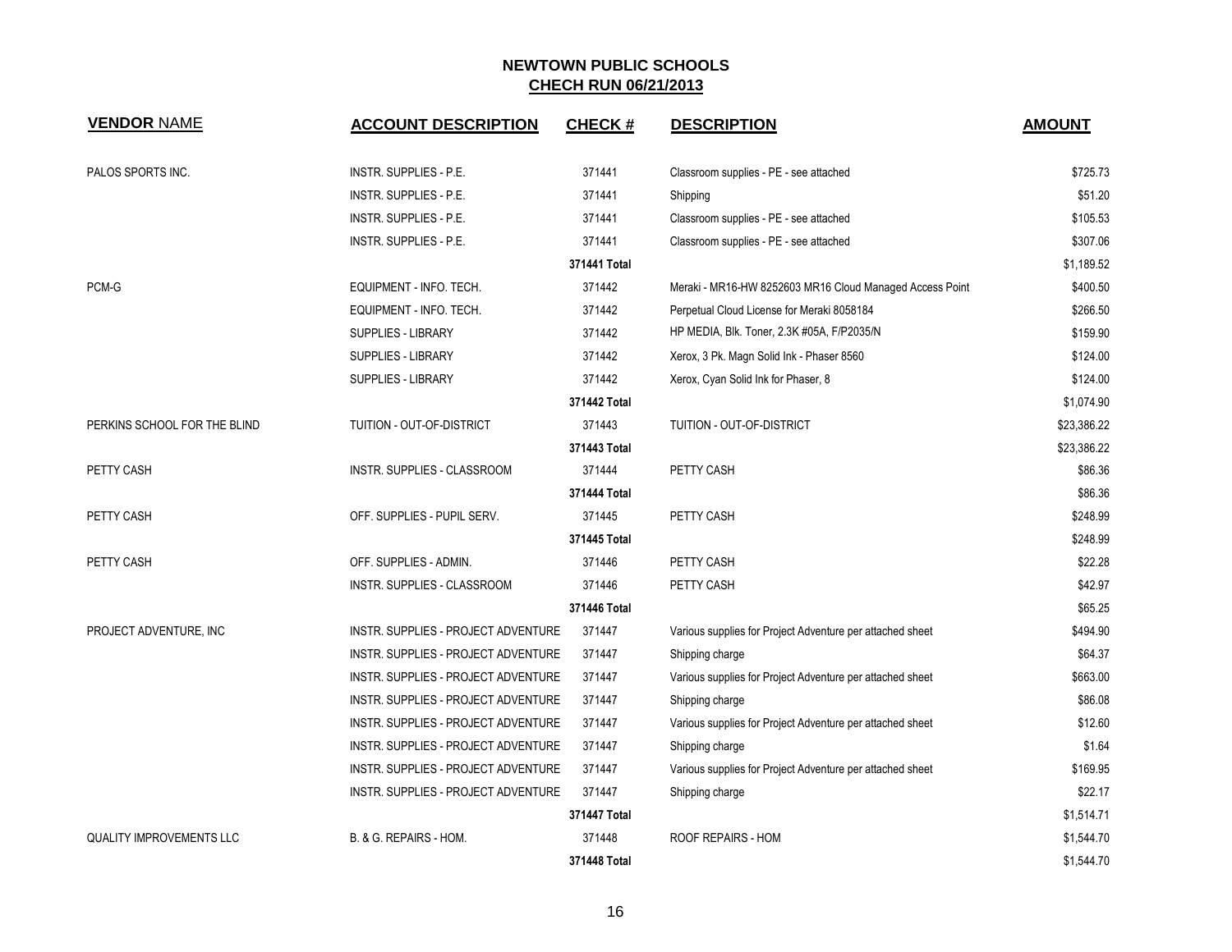| <b>VENDOR NAME</b>              | <b>ACCOUNT DESCRIPTION</b>          | <b>CHECK#</b> | <b>DESCRIPTION</b>                                        | <b>AMOUNT</b> |
|---------------------------------|-------------------------------------|---------------|-----------------------------------------------------------|---------------|
| PALOS SPORTS INC.               | INSTR. SUPPLIES - P.E.              | 371441        | Classroom supplies - PE - see attached                    | \$725.73      |
|                                 | INSTR. SUPPLIES - P.E.              | 371441        | Shipping                                                  | \$51.20       |
|                                 | INSTR. SUPPLIES - P.E.              | 371441        | Classroom supplies - PE - see attached                    | \$105.53      |
|                                 | INSTR. SUPPLIES - P.E.              | 371441        | Classroom supplies - PE - see attached                    | \$307.06      |
|                                 |                                     | 371441 Total  |                                                           | \$1,189.52    |
| PCM-G                           | EQUIPMENT - INFO. TECH.             | 371442        | Meraki - MR16-HW 8252603 MR16 Cloud Managed Access Point  | \$400.50      |
|                                 | EQUIPMENT - INFO. TECH.             | 371442        | Perpetual Cloud License for Meraki 8058184                | \$266.50      |
|                                 | <b>SUPPLIES - LIBRARY</b>           | 371442        | HP MEDIA, Blk. Toner, 2.3K #05A, F/P2035/N                | \$159.90      |
|                                 | <b>SUPPLIES - LIBRARY</b>           | 371442        | Xerox, 3 Pk. Magn Solid Ink - Phaser 8560                 | \$124.00      |
|                                 | <b>SUPPLIES - LIBRARY</b>           | 371442        | Xerox, Cyan Solid Ink for Phaser, 8                       | \$124.00      |
|                                 |                                     | 371442 Total  |                                                           | \$1,074.90    |
| PERKINS SCHOOL FOR THE BLIND    | TUITION - OUT-OF-DISTRICT           | 371443        | TUITION - OUT-OF-DISTRICT                                 | \$23,386.22   |
|                                 |                                     | 371443 Total  |                                                           | \$23,386.22   |
| PETTY CASH                      | INSTR. SUPPLIES - CLASSROOM         | 371444        | PETTY CASH                                                | \$86.36       |
|                                 |                                     | 371444 Total  |                                                           | \$86.36       |
| PETTY CASH                      | OFF. SUPPLIES - PUPIL SERV.         | 371445        | PETTY CASH                                                | \$248.99      |
|                                 |                                     | 371445 Total  |                                                           | \$248.99      |
| PETTY CASH                      | OFF. SUPPLIES - ADMIN.              | 371446        | PETTY CASH                                                | \$22.28       |
|                                 | INSTR. SUPPLIES - CLASSROOM         | 371446        | PETTY CASH                                                | \$42.97       |
|                                 |                                     | 371446 Total  |                                                           | \$65.25       |
| PROJECT ADVENTURE, INC          | INSTR. SUPPLIES - PROJECT ADVENTURE | 371447        | Various supplies for Project Adventure per attached sheet | \$494.90      |
|                                 | INSTR. SUPPLIES - PROJECT ADVENTURE | 371447        | Shipping charge                                           | \$64.37       |
|                                 | INSTR. SUPPLIES - PROJECT ADVENTURE | 371447        | Various supplies for Project Adventure per attached sheet | \$663.00      |
|                                 | INSTR. SUPPLIES - PROJECT ADVENTURE | 371447        | Shipping charge                                           | \$86.08       |
|                                 | INSTR. SUPPLIES - PROJECT ADVENTURE | 371447        | Various supplies for Project Adventure per attached sheet | \$12.60       |
|                                 | INSTR. SUPPLIES - PROJECT ADVENTURE | 371447        | Shipping charge                                           | \$1.64        |
|                                 | INSTR. SUPPLIES - PROJECT ADVENTURE | 371447        | Various supplies for Project Adventure per attached sheet | \$169.95      |
|                                 | INSTR. SUPPLIES - PROJECT ADVENTURE | 371447        | Shipping charge                                           | \$22.17       |
|                                 |                                     | 371447 Total  |                                                           | \$1,514.71    |
| <b>QUALITY IMPROVEMENTS LLC</b> | B. & G. REPAIRS - HOM.              | 371448        | <b>ROOF REPAIRS - HOM</b>                                 | \$1,544.70    |
|                                 |                                     | 371448 Total  |                                                           | \$1,544.70    |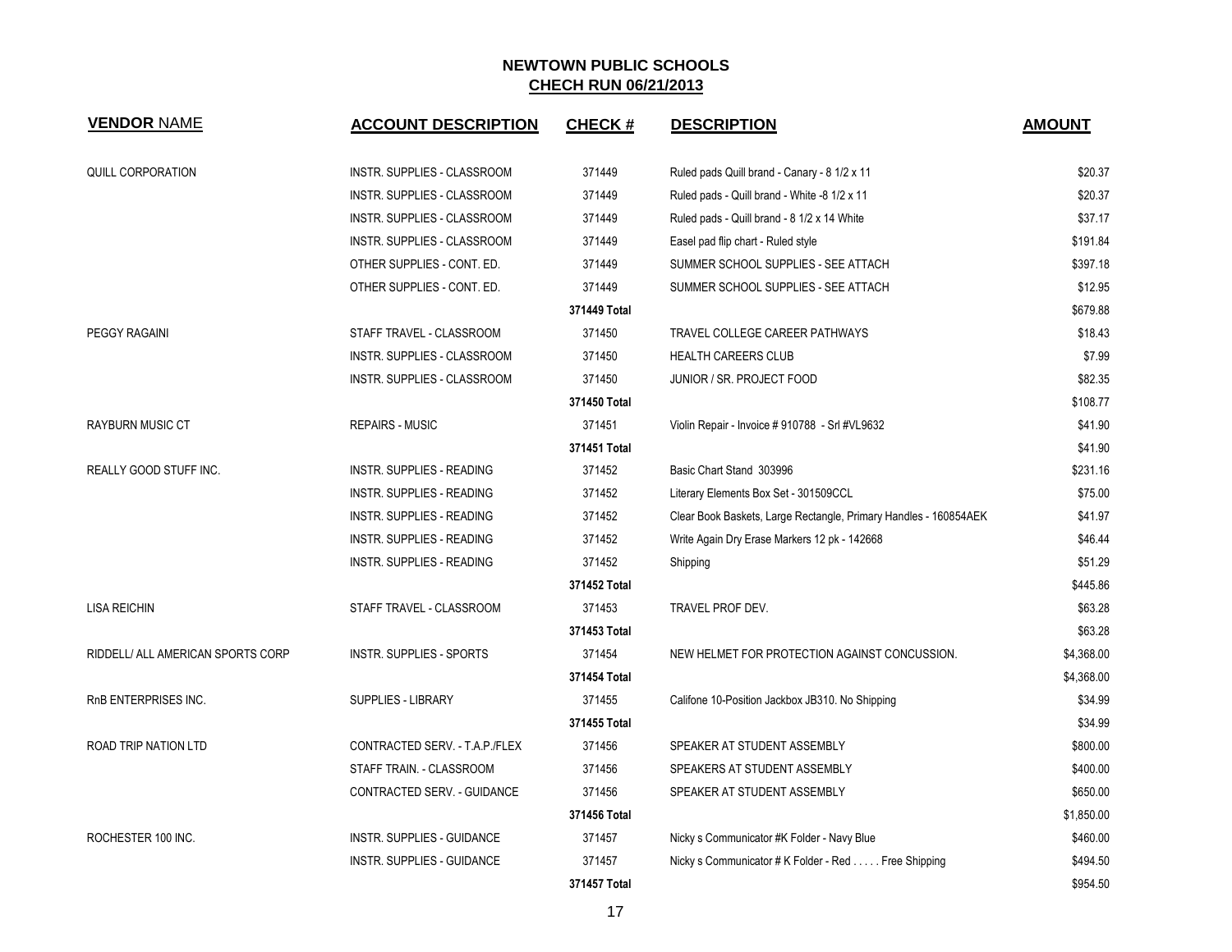| <b>VENDOR NAME</b>                | <b>ACCOUNT DESCRIPTION</b>         | <b>CHECK#</b> | <b>DESCRIPTION</b>                                               | <b>AMOUNT</b> |
|-----------------------------------|------------------------------------|---------------|------------------------------------------------------------------|---------------|
| <b>QUILL CORPORATION</b>          | <b>INSTR. SUPPLIES - CLASSROOM</b> | 371449        | Ruled pads Quill brand - Canary - 8 1/2 x 11                     | \$20.37       |
|                                   | <b>INSTR. SUPPLIES - CLASSROOM</b> | 371449        | Ruled pads - Quill brand - White -8 1/2 x 11                     | \$20.37       |
|                                   | INSTR. SUPPLIES - CLASSROOM        | 371449        | Ruled pads - Quill brand - 8 1/2 x 14 White                      | \$37.17       |
|                                   | <b>INSTR. SUPPLIES - CLASSROOM</b> | 371449        | Easel pad flip chart - Ruled style                               | \$191.84      |
|                                   | OTHER SUPPLIES - CONT. ED.         | 371449        | SUMMER SCHOOL SUPPLIES - SEE ATTACH                              | \$397.18      |
|                                   | OTHER SUPPLIES - CONT. ED.         | 371449        | SUMMER SCHOOL SUPPLIES - SEE ATTACH                              | \$12.95       |
|                                   |                                    | 371449 Total  |                                                                  | \$679.88      |
| <b>PEGGY RAGAINI</b>              | STAFF TRAVEL - CLASSROOM           | 371450        | TRAVEL COLLEGE CAREER PATHWAYS                                   | \$18.43       |
|                                   | <b>INSTR. SUPPLIES - CLASSROOM</b> | 371450        | <b>HEALTH CAREERS CLUB</b>                                       | \$7.99        |
|                                   | INSTR. SUPPLIES - CLASSROOM        | 371450        | JUNIOR / SR. PROJECT FOOD                                        | \$82.35       |
|                                   |                                    | 371450 Total  |                                                                  | \$108.77      |
| <b>RAYBURN MUSIC CT</b>           | <b>REPAIRS - MUSIC</b>             | 371451        | Violin Repair - Invoice #910788 - Srl #VL9632                    | \$41.90       |
|                                   |                                    | 371451 Total  |                                                                  | \$41.90       |
| REALLY GOOD STUFF INC.            | <b>INSTR. SUPPLIES - READING</b>   | 371452        | Basic Chart Stand 303996                                         | \$231.16      |
|                                   | INSTR. SUPPLIES - READING          | 371452        | Literary Elements Box Set - 301509CCL                            | \$75.00       |
|                                   | INSTR. SUPPLIES - READING          | 371452        | Clear Book Baskets, Large Rectangle, Primary Handles - 160854AEK | \$41.97       |
|                                   | <b>INSTR. SUPPLIES - READING</b>   | 371452        | Write Again Dry Erase Markers 12 pk - 142668                     | \$46.44       |
|                                   | <b>INSTR. SUPPLIES - READING</b>   | 371452        | Shipping                                                         | \$51.29       |
|                                   |                                    | 371452 Total  |                                                                  | \$445.86      |
| <b>LISA REICHIN</b>               | STAFF TRAVEL - CLASSROOM           | 371453        | TRAVEL PROF DEV.                                                 | \$63.28       |
|                                   |                                    | 371453 Total  |                                                                  | \$63.28       |
| RIDDELL/ ALL AMERICAN SPORTS CORP | INSTR. SUPPLIES - SPORTS           | 371454        | NEW HELMET FOR PROTECTION AGAINST CONCUSSION.                    | \$4,368.00    |
|                                   |                                    | 371454 Total  |                                                                  | \$4,368.00    |
| RnB ENTERPRISES INC.              | <b>SUPPLIES - LIBRARY</b>          | 371455        | Califone 10-Position Jackbox JB310. No Shipping                  | \$34.99       |
|                                   |                                    | 371455 Total  |                                                                  | \$34.99       |
| <b>ROAD TRIP NATION LTD</b>       | CONTRACTED SERV. - T.A.P./FLEX     | 371456        | SPEAKER AT STUDENT ASSEMBLY                                      | \$800.00      |
|                                   | STAFF TRAIN. - CLASSROOM           | 371456        | SPEAKERS AT STUDENT ASSEMBLY                                     | \$400.00      |
|                                   | CONTRACTED SERV. - GUIDANCE        | 371456        | SPEAKER AT STUDENT ASSEMBLY                                      | \$650.00      |
|                                   |                                    | 371456 Total  |                                                                  | \$1,850.00    |
| ROCHESTER 100 INC.                | <b>INSTR. SUPPLIES - GUIDANCE</b>  | 371457        | Nicky s Communicator #K Folder - Navy Blue                       | \$460.00      |
|                                   | <b>INSTR. SUPPLIES - GUIDANCE</b>  | 371457        | Nicky s Communicator # K Folder - Red Free Shipping              | \$494.50      |
|                                   |                                    | 371457 Total  |                                                                  | \$954.50      |

17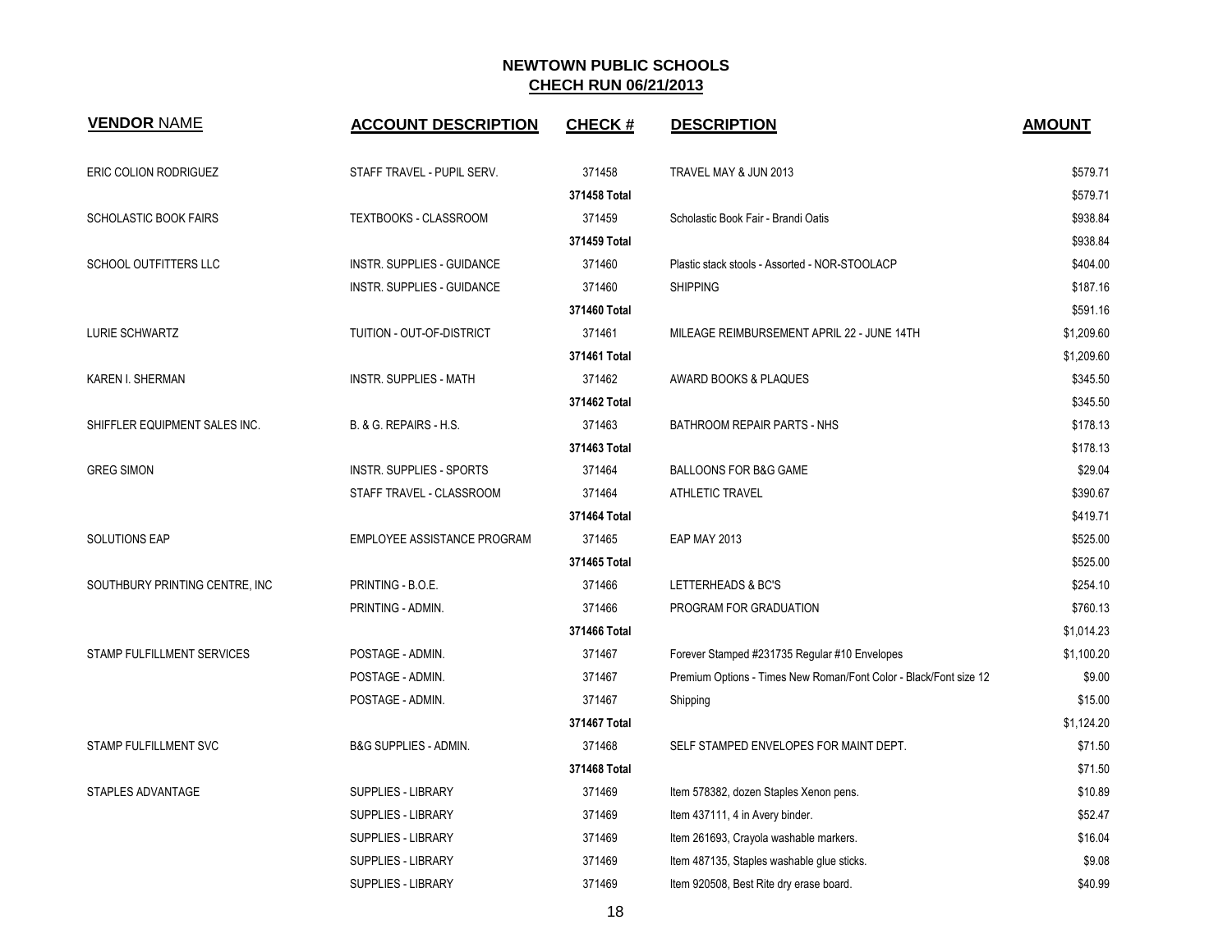| <b>VENDOR NAME</b>             | <b>ACCOUNT DESCRIPTION</b>        | <b>CHECK#</b> | <b>DESCRIPTION</b>                                                | <b>AMOUNT</b> |
|--------------------------------|-----------------------------------|---------------|-------------------------------------------------------------------|---------------|
| ERIC COLION RODRIGUEZ          | STAFF TRAVEL - PUPIL SERV.        | 371458        | TRAVEL MAY & JUN 2013                                             | \$579.71      |
|                                |                                   | 371458 Total  |                                                                   | \$579.71      |
| <b>SCHOLASTIC BOOK FAIRS</b>   | TEXTBOOKS - CLASSROOM             | 371459        | Scholastic Book Fair - Brandi Oatis                               | \$938.84      |
|                                |                                   | 371459 Total  |                                                                   | \$938.84      |
| SCHOOL OUTFITTERS LLC          | <b>INSTR. SUPPLIES - GUIDANCE</b> | 371460        | Plastic stack stools - Assorted - NOR-STOOLACP                    | \$404.00      |
|                                | <b>INSTR. SUPPLIES - GUIDANCE</b> | 371460        | <b>SHIPPING</b>                                                   | \$187.16      |
|                                |                                   | 371460 Total  |                                                                   | \$591.16      |
| LURIE SCHWARTZ                 | TUITION - OUT-OF-DISTRICT         | 371461        | MILEAGE REIMBURSEMENT APRIL 22 - JUNE 14TH                        | \$1,209.60    |
|                                |                                   | 371461 Total  |                                                                   | \$1,209.60    |
| KAREN I. SHERMAN               | INSTR. SUPPLIES - MATH            | 371462        | AWARD BOOKS & PLAQUES                                             | \$345.50      |
|                                |                                   | 371462 Total  |                                                                   | \$345.50      |
| SHIFFLER EQUIPMENT SALES INC.  | B. & G. REPAIRS - H.S.            | 371463        | BATHROOM REPAIR PARTS - NHS                                       | \$178.13      |
|                                |                                   | 371463 Total  |                                                                   | \$178.13      |
| <b>GREG SIMON</b>              | <b>INSTR. SUPPLIES - SPORTS</b>   | 371464        | BALLOONS FOR B&G GAME                                             | \$29.04       |
|                                | STAFF TRAVEL - CLASSROOM          | 371464        | <b>ATHLETIC TRAVEL</b>                                            | \$390.67      |
|                                |                                   | 371464 Total  |                                                                   | \$419.71      |
| SOLUTIONS EAP                  | EMPLOYEE ASSISTANCE PROGRAM       | 371465        | <b>EAP MAY 2013</b>                                               | \$525.00      |
|                                |                                   | 371465 Total  |                                                                   | \$525.00      |
| SOUTHBURY PRINTING CENTRE, INC | PRINTING - B.O.E.                 | 371466        | LETTERHEADS & BC'S                                                | \$254.10      |
|                                | PRINTING - ADMIN.                 | 371466        | PROGRAM FOR GRADUATION                                            | \$760.13      |
|                                |                                   | 371466 Total  |                                                                   | \$1,014.23    |
| STAMP FULFILLMENT SERVICES     | POSTAGE - ADMIN.                  | 371467        | Forever Stamped #231735 Regular #10 Envelopes                     | \$1,100.20    |
|                                | POSTAGE - ADMIN.                  | 371467        | Premium Options - Times New Roman/Font Color - Black/Font size 12 | \$9.00        |
|                                | POSTAGE - ADMIN.                  | 371467        | Shipping                                                          | \$15.00       |
|                                |                                   | 371467 Total  |                                                                   | \$1,124.20    |
| <b>STAMP FULFILLMENT SVC</b>   | B&G SUPPLIES - ADMIN.             | 371468        | SELF STAMPED ENVELOPES FOR MAINT DEPT.                            | \$71.50       |
|                                |                                   | 371468 Total  |                                                                   | \$71.50       |
| STAPLES ADVANTAGE              | SUPPLIES - LIBRARY                | 371469        | Item 578382, dozen Staples Xenon pens.                            | \$10.89       |
|                                | <b>SUPPLIES - LIBRARY</b>         | 371469        | Item 437111, 4 in Avery binder.                                   | \$52.47       |
|                                | <b>SUPPLIES - LIBRARY</b>         | 371469        | Item 261693, Crayola washable markers.                            | \$16.04       |
|                                | SUPPLIES - LIBRARY                | 371469        | Item 487135, Staples washable glue sticks.                        | \$9.08        |
|                                | <b>SUPPLIES - LIBRARY</b>         | 371469        | Item 920508, Best Rite dry erase board.                           | \$40.99       |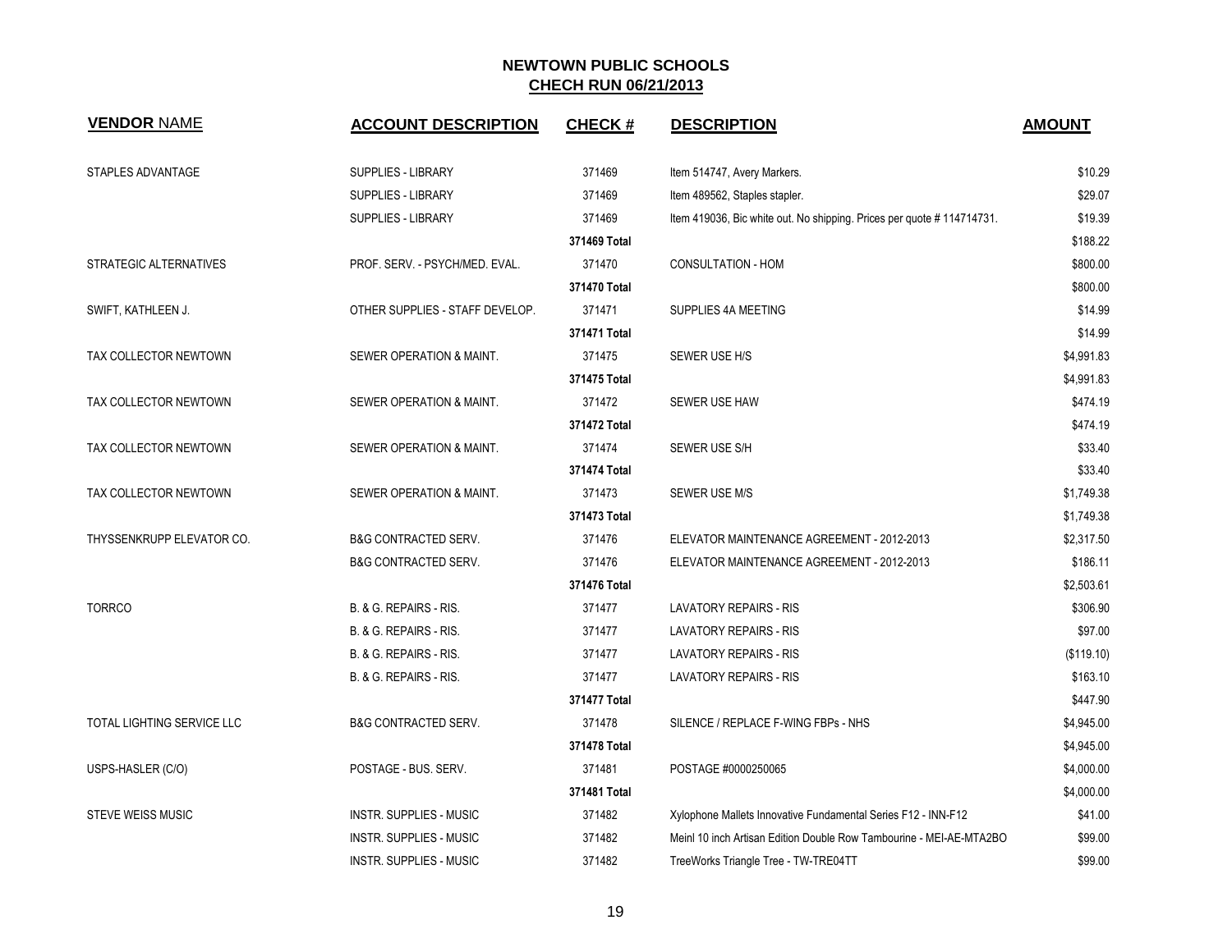| <b>VENDOR NAME</b>         | <b>ACCOUNT DESCRIPTION</b>      | <b>CHECK#</b> | <b>DESCRIPTION</b>                                                    | <b>AMOUNT</b> |
|----------------------------|---------------------------------|---------------|-----------------------------------------------------------------------|---------------|
| STAPLES ADVANTAGE          | <b>SUPPLIES - LIBRARY</b>       | 371469        | Item 514747, Avery Markers.                                           | \$10.29       |
|                            | <b>SUPPLIES - LIBRARY</b>       | 371469        | Item 489562, Staples stapler.                                         | \$29.07       |
|                            | <b>SUPPLIES - LIBRARY</b>       | 371469        | Item 419036, Bic white out. No shipping. Prices per quote #114714731. | \$19.39       |
|                            |                                 | 371469 Total  |                                                                       | \$188.22      |
| STRATEGIC ALTERNATIVES     | PROF. SERV. - PSYCH/MED. EVAL.  | 371470        | CONSULTATION - HOM                                                    | \$800.00      |
|                            |                                 | 371470 Total  |                                                                       | \$800.00      |
| SWIFT, KATHLEEN J.         | OTHER SUPPLIES - STAFF DEVELOP. | 371471        | SUPPLIES 4A MEETING                                                   | \$14.99       |
|                            |                                 | 371471 Total  |                                                                       | \$14.99       |
| TAX COLLECTOR NEWTOWN      | SEWER OPERATION & MAINT.        | 371475        | SEWER USE H/S                                                         | \$4,991.83    |
|                            |                                 | 371475 Total  |                                                                       | \$4,991.83    |
| TAX COLLECTOR NEWTOWN      | SEWER OPERATION & MAINT.        | 371472        | SEWER USE HAW                                                         | \$474.19      |
|                            |                                 | 371472 Total  |                                                                       | \$474.19      |
| TAX COLLECTOR NEWTOWN      | SEWER OPERATION & MAINT.        | 371474        | SEWER USE S/H                                                         | \$33.40       |
|                            |                                 | 371474 Total  |                                                                       | \$33.40       |
| TAX COLLECTOR NEWTOWN      | SEWER OPERATION & MAINT.        | 371473        | SEWER USE M/S                                                         | \$1.749.38    |
|                            |                                 | 371473 Total  |                                                                       | \$1,749.38    |
| THYSSENKRUPP ELEVATOR CO.  | <b>B&amp;G CONTRACTED SERV.</b> | 371476        | ELEVATOR MAINTENANCE AGREEMENT - 2012-2013                            | \$2,317.50    |
|                            | <b>B&amp;G CONTRACTED SERV.</b> | 371476        | ELEVATOR MAINTENANCE AGREEMENT - 2012-2013                            | \$186.11      |
|                            |                                 | 371476 Total  |                                                                       | \$2,503.61    |
| <b>TORRCO</b>              | B. & G. REPAIRS - RIS.          | 371477        | <b>LAVATORY REPAIRS - RIS</b>                                         | \$306.90      |
|                            | B. & G. REPAIRS - RIS.          | 371477        | <b>LAVATORY REPAIRS - RIS</b>                                         | \$97.00       |
|                            | B. & G. REPAIRS - RIS.          | 371477        | <b>LAVATORY REPAIRS - RIS</b>                                         | (\$119.10)    |
|                            | B. & G. REPAIRS - RIS.          | 371477        | <b>LAVATORY REPAIRS - RIS</b>                                         | \$163.10      |
|                            |                                 | 371477 Total  |                                                                       | \$447.90      |
| TOTAL LIGHTING SERVICE LLC | <b>B&amp;G CONTRACTED SERV.</b> | 371478        | SILENCE / REPLACE F-WING FBPs - NHS                                   | \$4,945.00    |
|                            |                                 | 371478 Total  |                                                                       | \$4,945.00    |
| USPS-HASLER (C/O)          | POSTAGE - BUS. SERV.            | 371481        | POSTAGE #0000250065                                                   | \$4,000.00    |
|                            |                                 | 371481 Total  |                                                                       | \$4,000.00    |
| <b>STEVE WEISS MUSIC</b>   | <b>INSTR. SUPPLIES - MUSIC</b>  | 371482        | Xylophone Mallets Innovative Fundamental Series F12 - INN-F12         | \$41.00       |
|                            | <b>INSTR. SUPPLIES - MUSIC</b>  | 371482        | Meinl 10 inch Artisan Edition Double Row Tambourine - MEI-AE-MTA2BO   | \$99.00       |
|                            | <b>INSTR. SUPPLIES - MUSIC</b>  | 371482        | TreeWorks Triangle Tree - TW-TRE04TT                                  | \$99.00       |